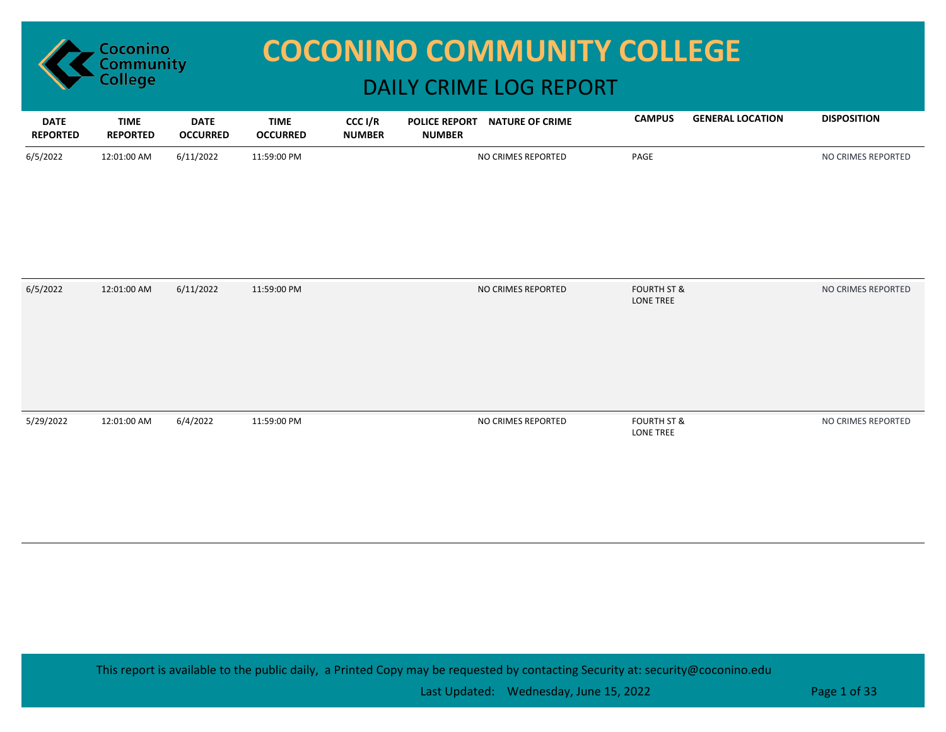

## **COCONINO COMMUNITY COLLEGE**

## DAILY CRIME LOG REPORT

| <b>DATE</b><br><b>REPORTED</b> | <b>TIME</b><br><b>REPORTED</b> | <b>DATE</b><br><b>OCCURRED</b> | <b>TIME</b><br><b>OCCURRED</b> | CCC I/R<br><b>NUMBER</b> | <b>POLICE REPORT</b><br><b>NUMBER</b> | <b>NATURE OF CRIME</b> | <b>CAMPUS</b>                       | <b>GENERAL LOCATION</b> | <b>DISPOSITION</b> |
|--------------------------------|--------------------------------|--------------------------------|--------------------------------|--------------------------|---------------------------------------|------------------------|-------------------------------------|-------------------------|--------------------|
| 6/5/2022                       | 12:01:00 AM                    | 6/11/2022                      | 11:59:00 PM                    |                          |                                       | NO CRIMES REPORTED     | PAGE                                |                         | NO CRIMES REPORTED |
| 6/5/2022                       | 12:01:00 AM                    | 6/11/2022                      | 11:59:00 PM                    |                          |                                       | NO CRIMES REPORTED     | <b>FOURTH ST &amp;</b><br>LONE TREE |                         | NO CRIMES REPORTED |
| 5/29/2022                      | 12:01:00 AM                    | 6/4/2022                       | 11:59:00 PM                    |                          |                                       | NO CRIMES REPORTED     | <b>FOURTH ST &amp;</b><br>LONE TREE |                         | NO CRIMES REPORTED |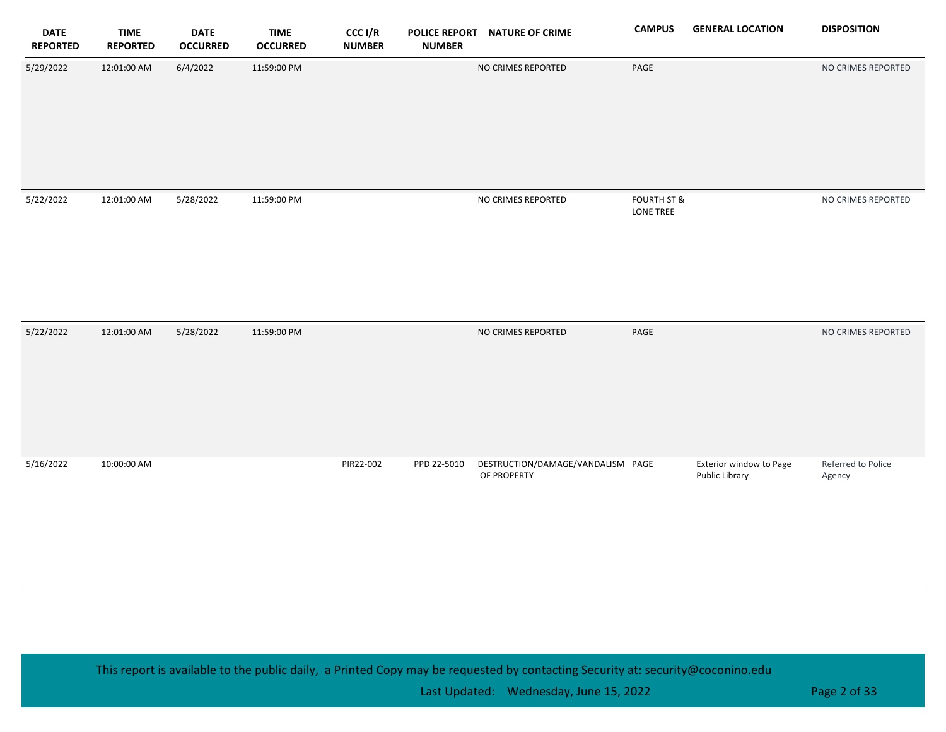| <b>DATE</b><br><b>REPORTED</b> | <b>TIME</b><br><b>REPORTED</b> | <b>DATE</b><br><b>OCCURRED</b> | <b>TIME</b><br><b>OCCURRED</b> | CCC I/R<br><b>NUMBER</b> | <b>POLICE REPORT</b><br><b>NUMBER</b> | <b>NATURE OF CRIME</b>                           | <b>CAMPUS</b>                       | <b>GENERAL LOCATION</b>                   | <b>DISPOSITION</b>           |
|--------------------------------|--------------------------------|--------------------------------|--------------------------------|--------------------------|---------------------------------------|--------------------------------------------------|-------------------------------------|-------------------------------------------|------------------------------|
| 5/29/2022                      | 12:01:00 AM                    | 6/4/2022                       | 11:59:00 PM                    |                          |                                       | NO CRIMES REPORTED                               | PAGE                                |                                           | NO CRIMES REPORTED           |
| 5/22/2022                      | 12:01:00 AM                    | 5/28/2022                      | 11:59:00 PM                    |                          |                                       | NO CRIMES REPORTED                               | <b>FOURTH ST &amp;</b><br>LONE TREE |                                           | NO CRIMES REPORTED           |
| 5/22/2022                      | 12:01:00 AM                    | 5/28/2022                      | 11:59:00 PM                    |                          |                                       | NO CRIMES REPORTED                               | PAGE                                |                                           | NO CRIMES REPORTED           |
| 5/16/2022                      | 10:00:00 AM                    |                                |                                | PIR22-002                | PPD 22-5010                           | DESTRUCTION/DAMAGE/VANDALISM PAGE<br>OF PROPERTY |                                     | Exterior window to Page<br>Public Library | Referred to Police<br>Agency |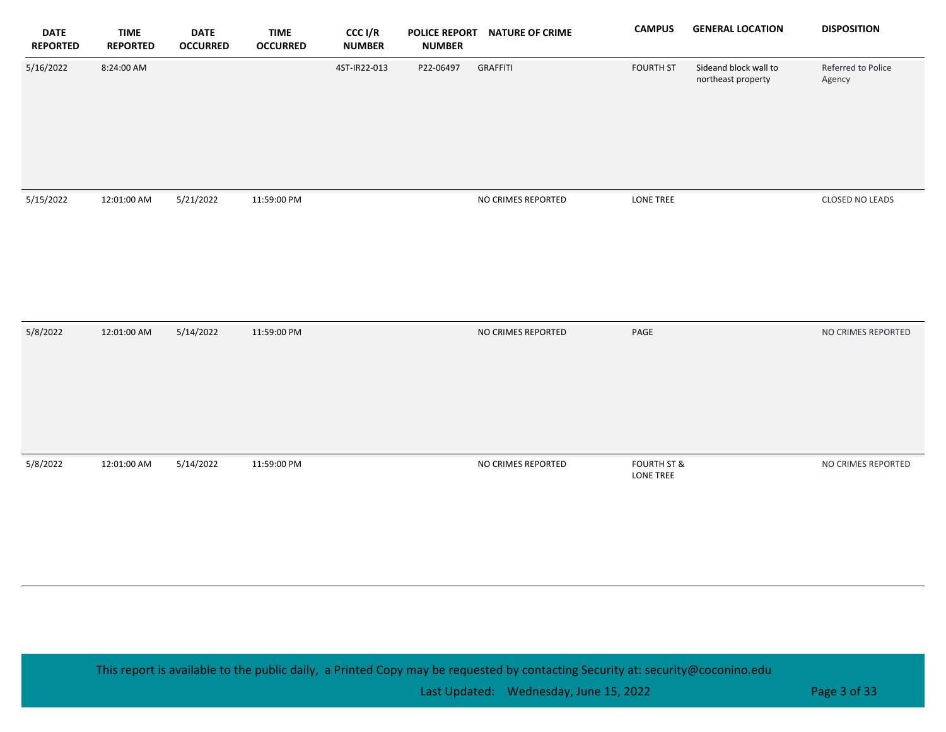| <b>DATE</b><br><b>REPORTED</b> | <b>TIME</b><br><b>REPORTED</b> | <b>DATE</b><br><b>OCCURRED</b> | <b>TIME</b><br><b>OCCURRED</b> | CCC I/R<br><b>NUMBER</b> | <b>POLICE REPORT</b><br><b>NUMBER</b> | <b>NATURE OF CRIME</b> | <b>CAMPUS</b>                       | <b>GENERAL LOCATION</b>                     | <b>DISPOSITION</b>           |
|--------------------------------|--------------------------------|--------------------------------|--------------------------------|--------------------------|---------------------------------------|------------------------|-------------------------------------|---------------------------------------------|------------------------------|
| 5/16/2022                      | 8:24:00 AM                     |                                |                                | 4ST-IR22-013             | P22-06497                             | <b>GRAFFITI</b>        | <b>FOURTH ST</b>                    | Sideand block wall to<br>northeast property | Referred to Police<br>Agency |
| 5/15/2022                      | 12:01:00 AM                    | 5/21/2022                      | 11:59:00 PM                    |                          |                                       | NO CRIMES REPORTED     | LONE TREE                           |                                             | CLOSED NO LEADS              |
| 5/8/2022                       | 12:01:00 AM                    | 5/14/2022                      | 11:59:00 PM                    |                          |                                       | NO CRIMES REPORTED     | $\ensuremath{\mathsf{PAGE}}$        |                                             | NO CRIMES REPORTED           |
| 5/8/2022                       | 12:01:00 AM                    | 5/14/2022                      | 11:59:00 PM                    |                          |                                       | NO CRIMES REPORTED     | <b>FOURTH ST &amp;</b><br>LONE TREE |                                             | NO CRIMES REPORTED           |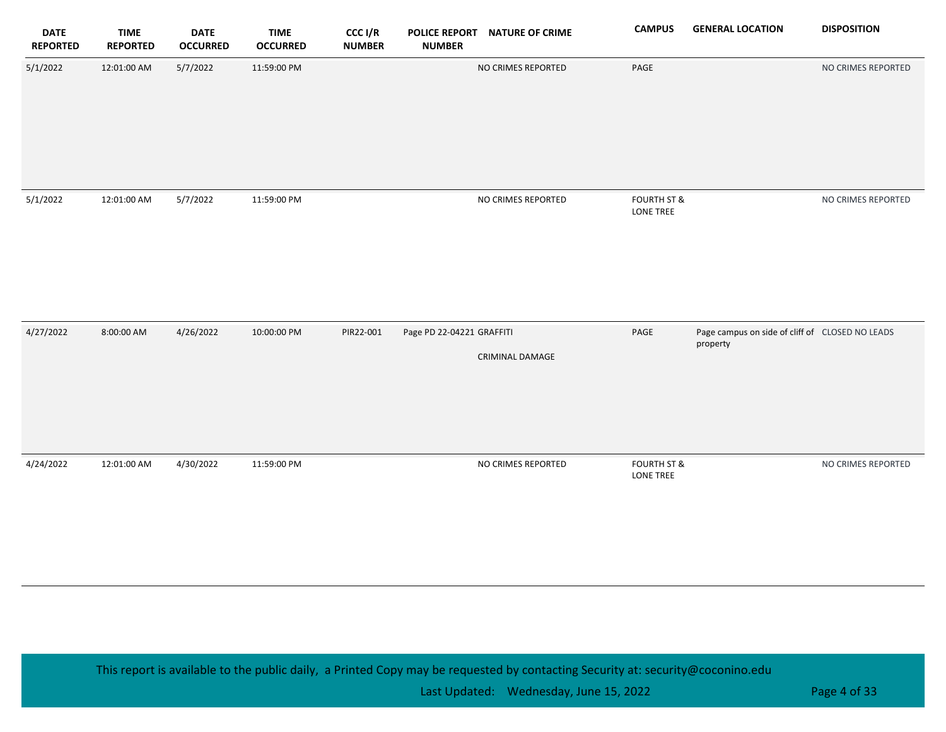| <b>DATE</b><br><b>REPORTED</b> | <b>TIME</b><br><b>REPORTED</b> | <b>DATE</b><br><b>OCCURRED</b> | <b>TIME</b><br><b>OCCURRED</b> | CCC I/R<br><b>NUMBER</b> | <b>NUMBER</b>             | POLICE REPORT NATURE OF CRIME | <b>CAMPUS</b>                       | <b>GENERAL LOCATION</b>                                     | <b>DISPOSITION</b> |
|--------------------------------|--------------------------------|--------------------------------|--------------------------------|--------------------------|---------------------------|-------------------------------|-------------------------------------|-------------------------------------------------------------|--------------------|
| 5/1/2022                       | 12:01:00 AM                    | 5/7/2022                       | 11:59:00 PM                    |                          |                           | NO CRIMES REPORTED            | PAGE                                |                                                             | NO CRIMES REPORTED |
| 5/1/2022                       | 12:01:00 AM                    | 5/7/2022                       | 11:59:00 PM                    |                          |                           | NO CRIMES REPORTED            | <b>FOURTH ST &amp;</b><br>LONE TREE |                                                             | NO CRIMES REPORTED |
| 4/27/2022                      | 8:00:00 AM                     | 4/26/2022                      | 10:00:00 PM                    | PIR22-001                | Page PD 22-04221 GRAFFITI | <b>CRIMINAL DAMAGE</b>        | PAGE                                | Page campus on side of cliff of CLOSED NO LEADS<br>property |                    |
| 4/24/2022                      | 12:01:00 AM                    | 4/30/2022                      | 11:59:00 PM                    |                          |                           | NO CRIMES REPORTED            | <b>FOURTH ST &amp;</b><br>LONE TREE |                                                             | NO CRIMES REPORTED |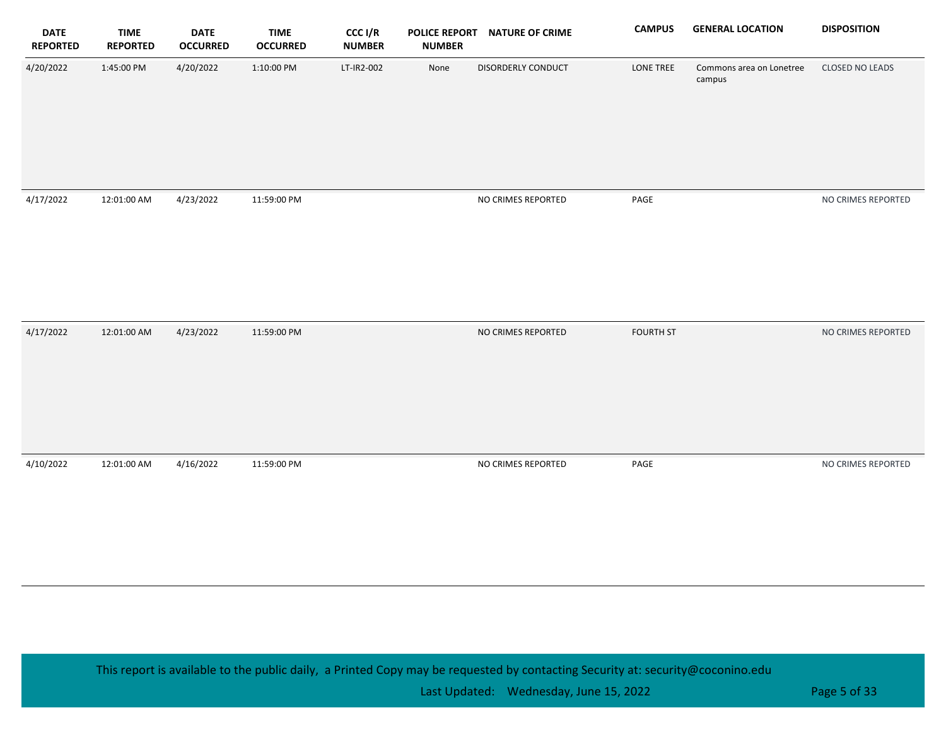| <b>DATE</b><br><b>REPORTED</b> | <b>TIME</b><br><b>REPORTED</b> | <b>DATE</b><br><b>OCCURRED</b> | <b>TIME</b><br><b>OCCURRED</b> | CCC I/R<br><b>NUMBER</b> | <b>NUMBER</b> | POLICE REPORT NATURE OF CRIME | <b>CAMPUS</b>    | <b>GENERAL LOCATION</b>            | <b>DISPOSITION</b>     |
|--------------------------------|--------------------------------|--------------------------------|--------------------------------|--------------------------|---------------|-------------------------------|------------------|------------------------------------|------------------------|
| 4/20/2022                      | 1:45:00 PM                     | 4/20/2022                      | 1:10:00 PM                     | LT-IR2-002               | None          | DISORDERLY CONDUCT            | LONE TREE        | Commons area on Lonetree<br>campus | <b>CLOSED NO LEADS</b> |
| 4/17/2022                      | 12:01:00 AM                    | 4/23/2022                      | 11:59:00 PM                    |                          |               | NO CRIMES REPORTED            | PAGE             |                                    | NO CRIMES REPORTED     |
| 4/17/2022                      | 12:01:00 AM                    | 4/23/2022                      | 11:59:00 PM                    |                          |               | NO CRIMES REPORTED            | <b>FOURTH ST</b> |                                    | NO CRIMES REPORTED     |
| 4/10/2022                      | 12:01:00 AM                    | 4/16/2022                      | 11:59:00 PM                    |                          |               | NO CRIMES REPORTED            | PAGE             |                                    | NO CRIMES REPORTED     |

Last Updated: Wednesday, June 15, 2022 **Page 5 of 33** Page 5 of 33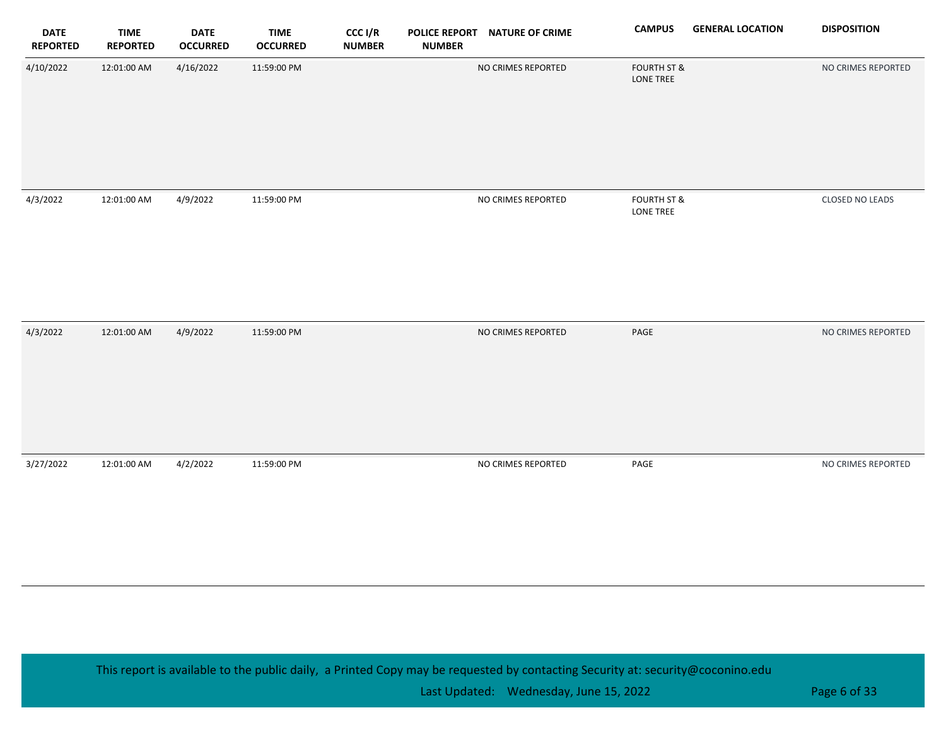| <b>DATE</b><br><b>REPORTED</b> | <b>TIME</b><br><b>REPORTED</b> | <b>DATE</b><br><b>OCCURRED</b> | <b>TIME</b><br><b>OCCURRED</b> | CCC I/R<br><b>NUMBER</b> | <b>NUMBER</b> | POLICE REPORT NATURE OF CRIME | <b>CAMPUS</b>                       | <b>GENERAL LOCATION</b> | <b>DISPOSITION</b> |
|--------------------------------|--------------------------------|--------------------------------|--------------------------------|--------------------------|---------------|-------------------------------|-------------------------------------|-------------------------|--------------------|
| 4/10/2022                      | 12:01:00 AM                    | 4/16/2022                      | 11:59:00 PM                    |                          |               | NO CRIMES REPORTED            | <b>FOURTH ST &amp;</b><br>LONE TREE |                         | NO CRIMES REPORTED |
|                                |                                |                                |                                |                          |               |                               |                                     |                         |                    |
| 4/3/2022                       | 12:01:00 AM                    | 4/9/2022                       | 11:59:00 PM                    |                          |               | NO CRIMES REPORTED            | <b>FOURTH ST &amp;</b><br>LONE TREE |                         | CLOSED NO LEADS    |
| 4/3/2022                       | 12:01:00 AM                    | 4/9/2022                       | 11:59:00 PM                    |                          |               | NO CRIMES REPORTED            | PAGE                                |                         | NO CRIMES REPORTED |
| 3/27/2022                      | 12:01:00 AM                    | 4/2/2022                       | 11:59:00 PM                    |                          |               | NO CRIMES REPORTED            | PAGE                                |                         | NO CRIMES REPORTED |

Last Updated: Wednesday, June 15, 2022 **Page 6 of 33** Page 6 of 33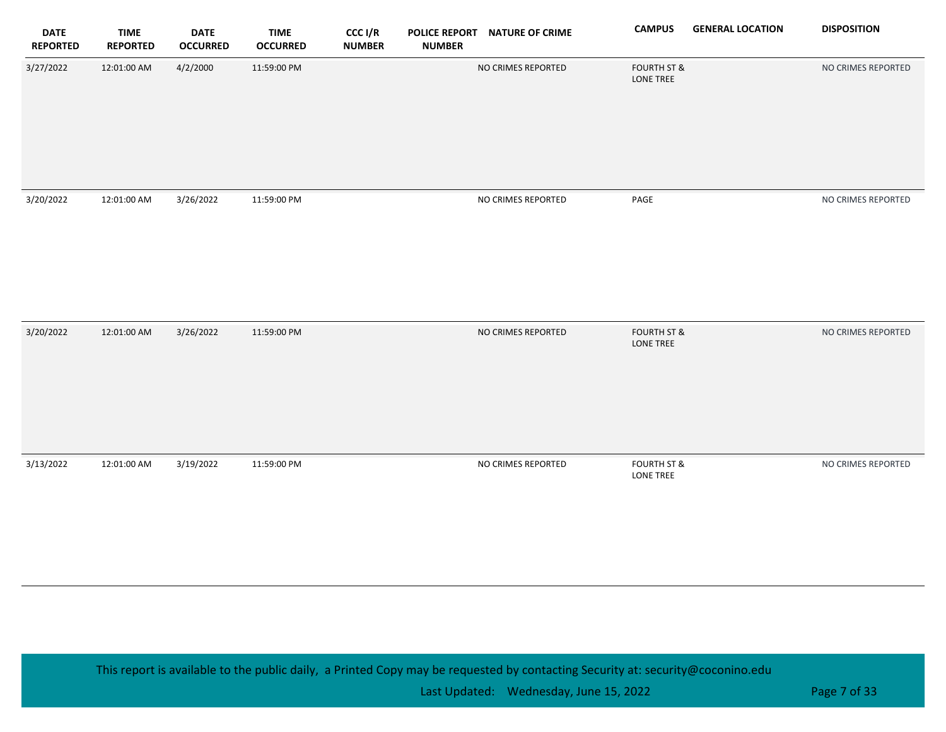| <b>DATE</b><br><b>REPORTED</b> | <b>TIME</b><br><b>REPORTED</b> | <b>DATE</b><br><b>OCCURRED</b> | <b>TIME</b><br><b>OCCURRED</b> | CCC I/R<br><b>NUMBER</b> | <b>POLICE REPORT</b><br><b>NUMBER</b> | <b>NATURE OF CRIME</b> | <b>CAMPUS</b>                       | <b>GENERAL LOCATION</b> | <b>DISPOSITION</b> |
|--------------------------------|--------------------------------|--------------------------------|--------------------------------|--------------------------|---------------------------------------|------------------------|-------------------------------------|-------------------------|--------------------|
| 3/27/2022                      | 12:01:00 AM                    | 4/2/2000                       | 11:59:00 PM                    |                          |                                       | NO CRIMES REPORTED     | <b>FOURTH ST &amp;</b><br>LONE TREE |                         | NO CRIMES REPORTED |
| 3/20/2022                      | 12:01:00 AM                    | 3/26/2022                      | 11:59:00 PM                    |                          |                                       | NO CRIMES REPORTED     | $\ensuremath{\mathsf{PAGE}}$        |                         | NO CRIMES REPORTED |
| 3/20/2022                      | 12:01:00 AM                    | 3/26/2022                      | 11:59:00 PM                    |                          |                                       | NO CRIMES REPORTED     | <b>FOURTH ST &amp;</b><br>LONE TREE |                         | NO CRIMES REPORTED |
| 3/13/2022                      | 12:01:00 AM                    | 3/19/2022                      | 11:59:00 PM                    |                          |                                       | NO CRIMES REPORTED     | <b>FOURTH ST &amp;</b><br>LONE TREE |                         | NO CRIMES REPORTED |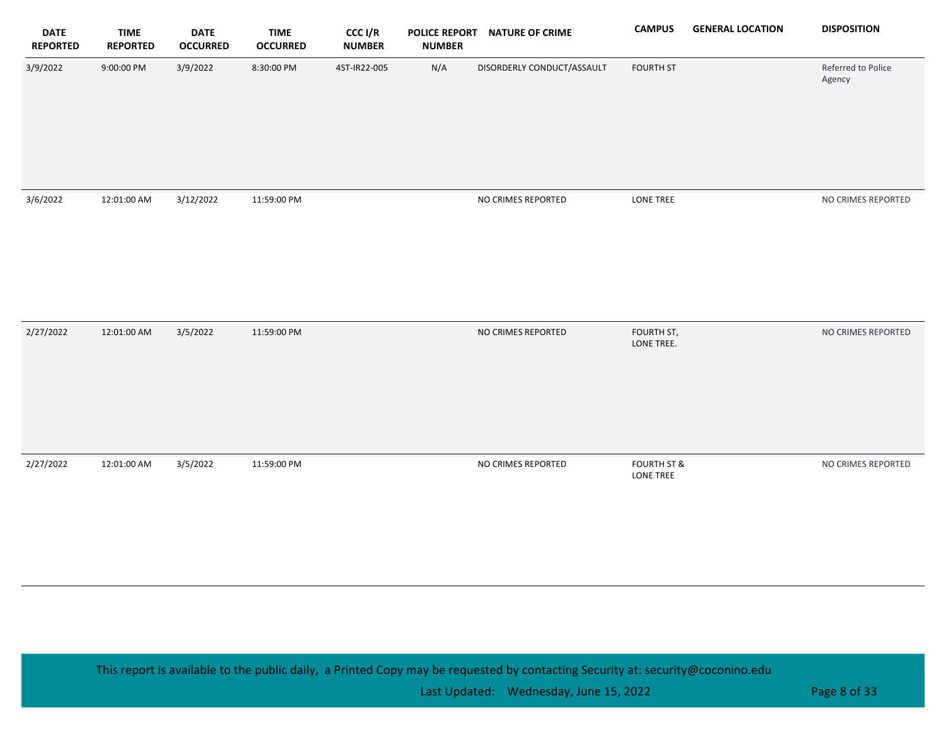| <b>DATE</b><br><b>REPORTED</b> | <b>TIME</b><br><b>REPORTED</b> | <b>DATE</b><br><b>OCCURRED</b> | <b>TIME</b><br><b>OCCURRED</b> | CCC I/R<br><b>NUMBER</b> | <b>POLICE REPORT</b><br><b>NUMBER</b> | <b>NATURE OF CRIME</b>     | <b>CAMPUS</b>                              | <b>GENERAL LOCATION</b> | <b>DISPOSITION</b>           |
|--------------------------------|--------------------------------|--------------------------------|--------------------------------|--------------------------|---------------------------------------|----------------------------|--------------------------------------------|-------------------------|------------------------------|
| 3/9/2022                       | 9:00:00 PM                     | 3/9/2022                       | 8:30:00 PM                     | 4ST-IR22-005             | N/A                                   | DISORDERLY CONDUCT/ASSAULT | <b>FOURTH ST</b>                           |                         | Referred to Police<br>Agency |
| 3/6/2022                       | 12:01:00 AM                    | 3/12/2022                      | 11:59:00 PM                    |                          |                                       | NO CRIMES REPORTED         | LONE TREE                                  |                         | NO CRIMES REPORTED           |
| 2/27/2022                      | 12:01:00 AM                    | 3/5/2022                       | 11:59:00 PM                    |                          |                                       | NO CRIMES REPORTED         | FOURTH ST,<br>LONE TREE.                   |                         | NO CRIMES REPORTED           |
| 2/27/2022                      | 12:01:00 AM                    | 3/5/2022                       | 11:59:00 PM                    |                          |                                       | NO CRIMES REPORTED         | <b>FOURTH ST &amp;</b><br><b>LONE TREE</b> |                         | NO CRIMES REPORTED           |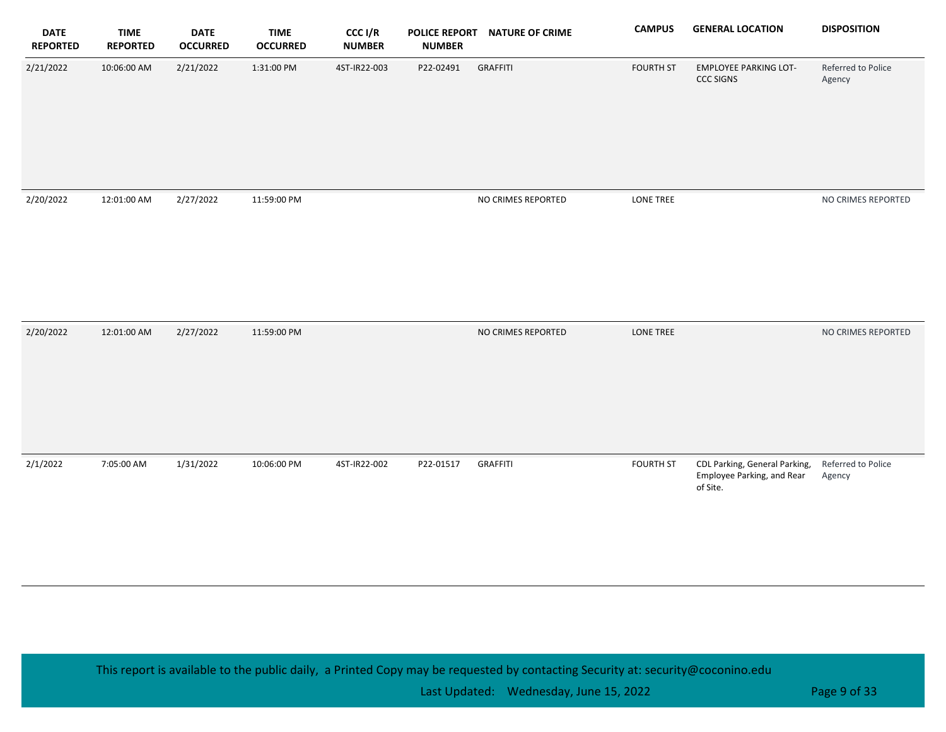| <b>DATE</b><br><b>REPORTED</b> | <b>TIME</b><br><b>REPORTED</b> | <b>DATE</b><br><b>OCCURRED</b> | <b>TIME</b><br><b>OCCURRED</b> | CCC I/R<br><b>NUMBER</b> | <b>POLICE REPORT</b><br><b>NUMBER</b> | <b>NATURE OF CRIME</b> | <b>CAMPUS</b>    | <b>GENERAL LOCATION</b>                                                 | <b>DISPOSITION</b>           |
|--------------------------------|--------------------------------|--------------------------------|--------------------------------|--------------------------|---------------------------------------|------------------------|------------------|-------------------------------------------------------------------------|------------------------------|
| 2/21/2022                      | 10:06:00 AM                    | 2/21/2022                      | 1:31:00 PM                     | 4ST-IR22-003             | P22-02491                             | <b>GRAFFITI</b>        | <b>FOURTH ST</b> | <b>EMPLOYEE PARKING LOT-</b><br><b>CCC SIGNS</b>                        | Referred to Police<br>Agency |
| 2/20/2022                      | 12:01:00 AM                    | 2/27/2022                      | 11:59:00 PM                    |                          |                                       | NO CRIMES REPORTED     | <b>LONE TREE</b> |                                                                         | NO CRIMES REPORTED           |
| 2/20/2022                      | 12:01:00 AM                    | 2/27/2022                      | 11:59:00 PM                    |                          |                                       | NO CRIMES REPORTED     | <b>LONE TREE</b> |                                                                         | NO CRIMES REPORTED           |
| 2/1/2022                       | 7:05:00 AM                     | 1/31/2022                      | 10:06:00 PM                    | 4ST-IR22-002             | P22-01517                             | <b>GRAFFITI</b>        | <b>FOURTH ST</b> | CDL Parking, General Parking,<br>Employee Parking, and Rear<br>of Site. | Referred to Police<br>Agency |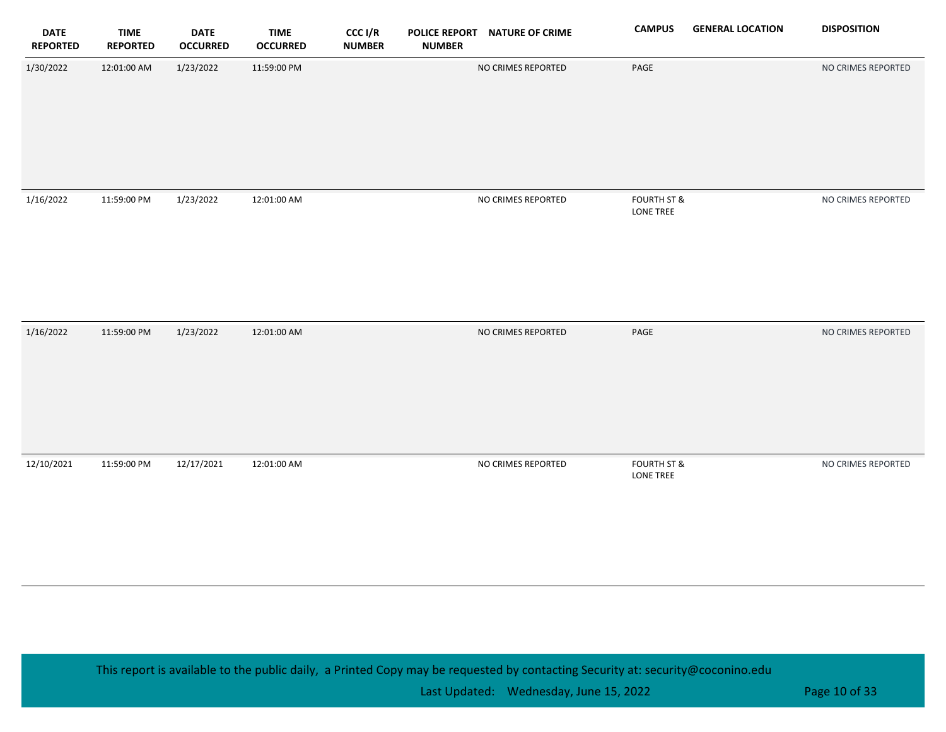| <b>DATE</b><br><b>REPORTED</b> | <b>TIME</b><br><b>REPORTED</b> | <b>DATE</b><br><b>OCCURRED</b> | <b>TIME</b><br><b>OCCURRED</b> | CCC I/R<br><b>NUMBER</b> | <b>NUMBER</b> | POLICE REPORT NATURE OF CRIME | <b>CAMPUS</b>                              | <b>GENERAL LOCATION</b> | <b>DISPOSITION</b> |
|--------------------------------|--------------------------------|--------------------------------|--------------------------------|--------------------------|---------------|-------------------------------|--------------------------------------------|-------------------------|--------------------|
| 1/30/2022                      | 12:01:00 AM                    | 1/23/2022                      | 11:59:00 PM                    |                          |               | NO CRIMES REPORTED            | PAGE                                       |                         | NO CRIMES REPORTED |
| 1/16/2022                      | 11:59:00 PM                    | 1/23/2022                      | 12:01:00 AM                    |                          |               | NO CRIMES REPORTED            | <b>FOURTH ST &amp;</b><br>LONE TREE        |                         | NO CRIMES REPORTED |
| 1/16/2022                      | 11:59:00 PM                    | 1/23/2022                      | 12:01:00 AM                    |                          |               | NO CRIMES REPORTED            | $\ensuremath{\mathsf{PAGE}}$               |                         | NO CRIMES REPORTED |
| 12/10/2021                     | 11:59:00 PM                    | 12/17/2021                     | 12:01:00 AM                    |                          |               | NO CRIMES REPORTED            | <b>FOURTH ST &amp;</b><br><b>LONE TREE</b> |                         | NO CRIMES REPORTED |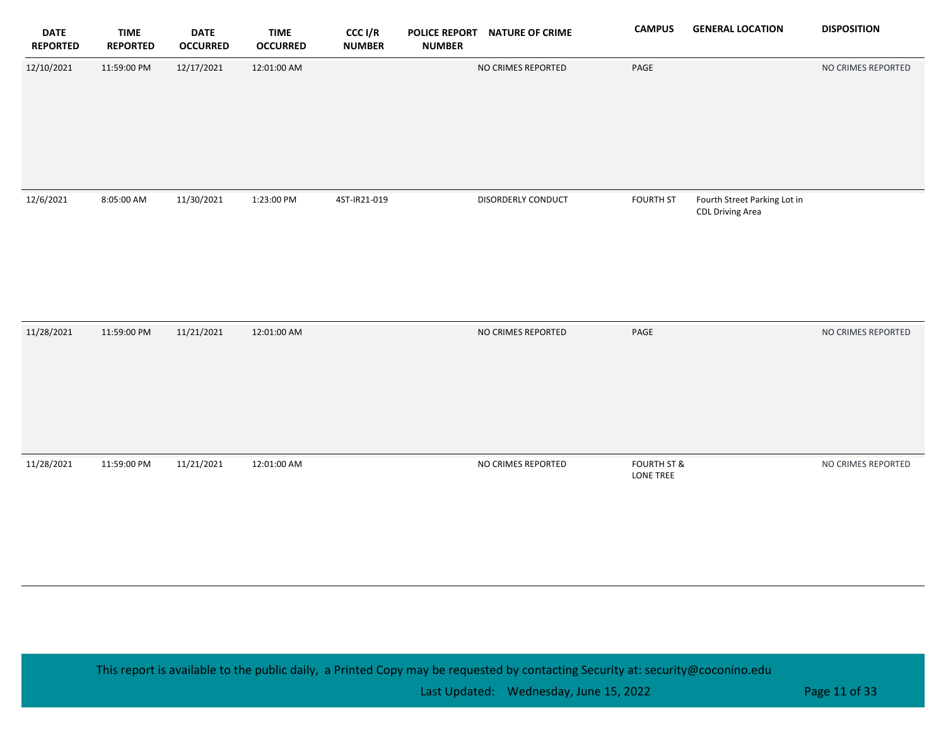| <b>DATE</b><br><b>REPORTED</b> | <b>TIME</b><br><b>REPORTED</b> | <b>DATE</b><br><b>OCCURRED</b> | <b>TIME</b><br><b>OCCURRED</b> | CCC I/R<br><b>NUMBER</b> | <b>POLICE REPORT</b><br><b>NUMBER</b> | <b>NATURE OF CRIME</b> | <b>CAMPUS</b>                       | <b>GENERAL LOCATION</b>                                 | <b>DISPOSITION</b> |
|--------------------------------|--------------------------------|--------------------------------|--------------------------------|--------------------------|---------------------------------------|------------------------|-------------------------------------|---------------------------------------------------------|--------------------|
| 12/10/2021                     | 11:59:00 PM                    | 12/17/2021                     | 12:01:00 AM                    |                          |                                       | NO CRIMES REPORTED     | PAGE                                |                                                         | NO CRIMES REPORTED |
| 12/6/2021                      | 8:05:00 AM                     | 11/30/2021                     | 1:23:00 PM                     | 4ST-IR21-019             |                                       | DISORDERLY CONDUCT     | <b>FOURTH ST</b>                    | Fourth Street Parking Lot in<br><b>CDL Driving Area</b> |                    |
| 11/28/2021                     | 11:59:00 PM                    | 11/21/2021                     | 12:01:00 AM                    |                          |                                       | NO CRIMES REPORTED     | PAGE                                |                                                         | NO CRIMES REPORTED |
| 11/28/2021                     | 11:59:00 PM                    | 11/21/2021                     | 12:01:00 AM                    |                          |                                       | NO CRIMES REPORTED     | <b>FOURTH ST &amp;</b><br>LONE TREE |                                                         | NO CRIMES REPORTED |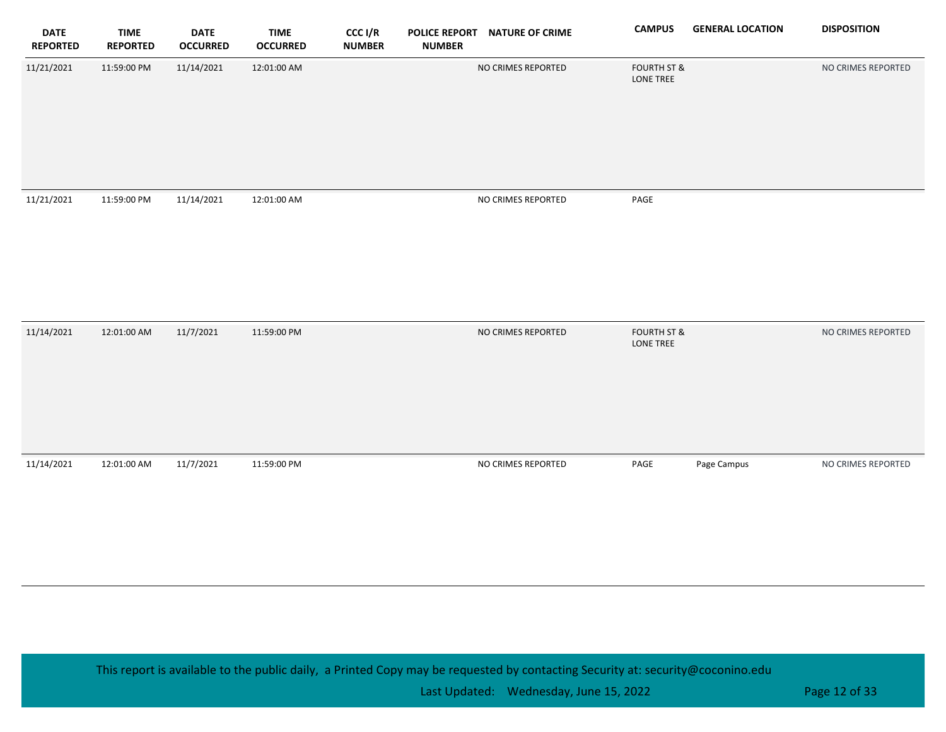| <b>DATE</b><br><b>REPORTED</b> | <b>TIME</b><br><b>REPORTED</b> | <b>DATE</b><br><b>OCCURRED</b> | <b>TIME</b><br><b>OCCURRED</b> | CCC I/R<br><b>NUMBER</b> | <b>POLICE REPORT</b><br><b>NUMBER</b> | <b>NATURE OF CRIME</b> | <b>CAMPUS</b>                       | <b>GENERAL LOCATION</b> | <b>DISPOSITION</b> |
|--------------------------------|--------------------------------|--------------------------------|--------------------------------|--------------------------|---------------------------------------|------------------------|-------------------------------------|-------------------------|--------------------|
| 11/21/2021                     | 11:59:00 PM                    | 11/14/2021                     | 12:01:00 AM                    |                          |                                       | NO CRIMES REPORTED     | <b>FOURTH ST &amp;</b><br>LONE TREE |                         | NO CRIMES REPORTED |
|                                |                                |                                |                                |                          |                                       |                        |                                     |                         |                    |
| 11/21/2021                     | 11:59:00 PM                    | 11/14/2021                     | 12:01:00 AM                    |                          |                                       | NO CRIMES REPORTED     | PAGE                                |                         |                    |
| 11/14/2021                     | 12:01:00 AM                    | 11/7/2021                      | 11:59:00 PM                    |                          |                                       | NO CRIMES REPORTED     | <b>FOURTH ST &amp;</b><br>LONE TREE |                         | NO CRIMES REPORTED |
| 11/14/2021                     | 12:01:00 AM                    | 11/7/2021                      | 11:59:00 PM                    |                          |                                       | NO CRIMES REPORTED     | PAGE                                | Page Campus             | NO CRIMES REPORTED |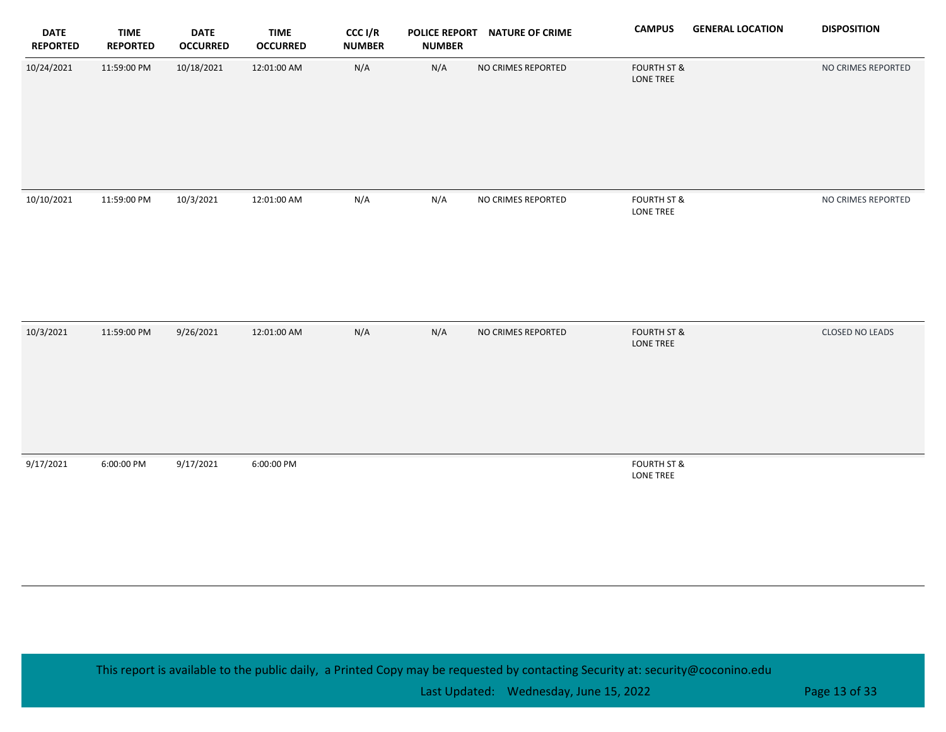| <b>DATE</b><br><b>REPORTED</b> | <b>TIME</b><br><b>REPORTED</b> | <b>DATE</b><br><b>OCCURRED</b> | <b>TIME</b><br><b>OCCURRED</b> | CCC I/R<br><b>NUMBER</b> | <b>NUMBER</b> | POLICE REPORT NATURE OF CRIME | <b>CAMPUS</b>                       | <b>GENERAL LOCATION</b> | <b>DISPOSITION</b> |
|--------------------------------|--------------------------------|--------------------------------|--------------------------------|--------------------------|---------------|-------------------------------|-------------------------------------|-------------------------|--------------------|
| 10/24/2021                     | 11:59:00 PM                    | 10/18/2021                     | 12:01:00 AM                    | N/A                      | N/A           | NO CRIMES REPORTED            | <b>FOURTH ST &amp;</b><br>LONE TREE |                         | NO CRIMES REPORTED |
| 10/10/2021                     | 11:59:00 PM                    | 10/3/2021                      | 12:01:00 AM                    | N/A                      | N/A           | NO CRIMES REPORTED            | <b>FOURTH ST &amp;</b><br>LONE TREE |                         | NO CRIMES REPORTED |
| 10/3/2021                      | 11:59:00 PM                    | 9/26/2021                      | 12:01:00 AM                    | N/A                      | N/A           | NO CRIMES REPORTED            | <b>FOURTH ST &amp;</b><br>LONE TREE |                         | CLOSED NO LEADS    |
| 9/17/2021                      | 6:00:00 PM                     | 9/17/2021                      | 6:00:00 PM                     |                          |               |                               | <b>FOURTH ST &amp;</b><br>LONE TREE |                         |                    |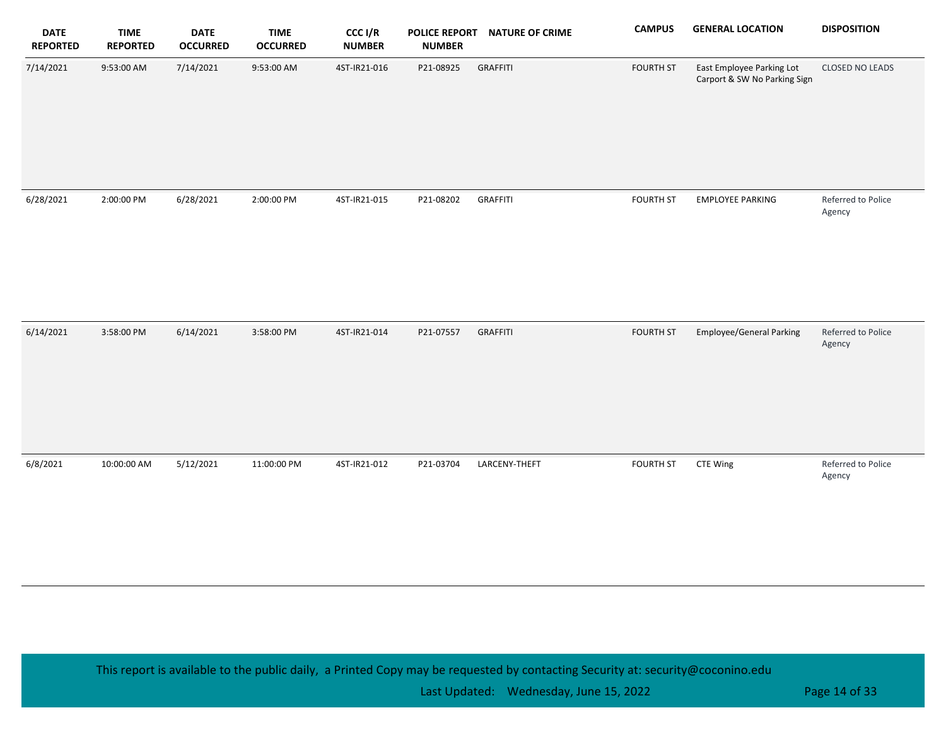| <b>DATE</b><br><b>REPORTED</b> | <b>TIME</b><br><b>REPORTED</b> | <b>DATE</b><br><b>OCCURRED</b> | <b>TIME</b><br><b>OCCURRED</b> | CCC I/R<br><b>NUMBER</b> | <b>POLICE REPORT</b><br><b>NUMBER</b> | <b>NATURE OF CRIME</b> | <b>CAMPUS</b>    | <b>GENERAL LOCATION</b>                                   | <b>DISPOSITION</b>           |
|--------------------------------|--------------------------------|--------------------------------|--------------------------------|--------------------------|---------------------------------------|------------------------|------------------|-----------------------------------------------------------|------------------------------|
| 7/14/2021                      | 9:53:00 AM                     | 7/14/2021                      | 9:53:00 AM                     | 4ST-IR21-016             | P21-08925                             | <b>GRAFFITI</b>        | <b>FOURTH ST</b> | East Employee Parking Lot<br>Carport & SW No Parking Sign | <b>CLOSED NO LEADS</b>       |
| 6/28/2021                      | 2:00:00 PM                     | 6/28/2021                      | 2:00:00 PM                     | 4ST-IR21-015             | P21-08202                             | <b>GRAFFITI</b>        | <b>FOURTH ST</b> | <b>EMPLOYEE PARKING</b>                                   | Referred to Police<br>Agency |
| 6/14/2021                      | 3:58:00 PM                     | 6/14/2021                      | 3:58:00 PM                     | 4ST-IR21-014             | P21-07557                             | <b>GRAFFITI</b>        | <b>FOURTH ST</b> | <b>Employee/General Parking</b>                           | Referred to Police<br>Agency |
| 6/8/2021                       | 10:00:00 AM                    | 5/12/2021                      | 11:00:00 PM                    | 4ST-IR21-012             | P21-03704                             | LARCENY-THEFT          | <b>FOURTH ST</b> | CTE Wing                                                  | Referred to Police<br>Agency |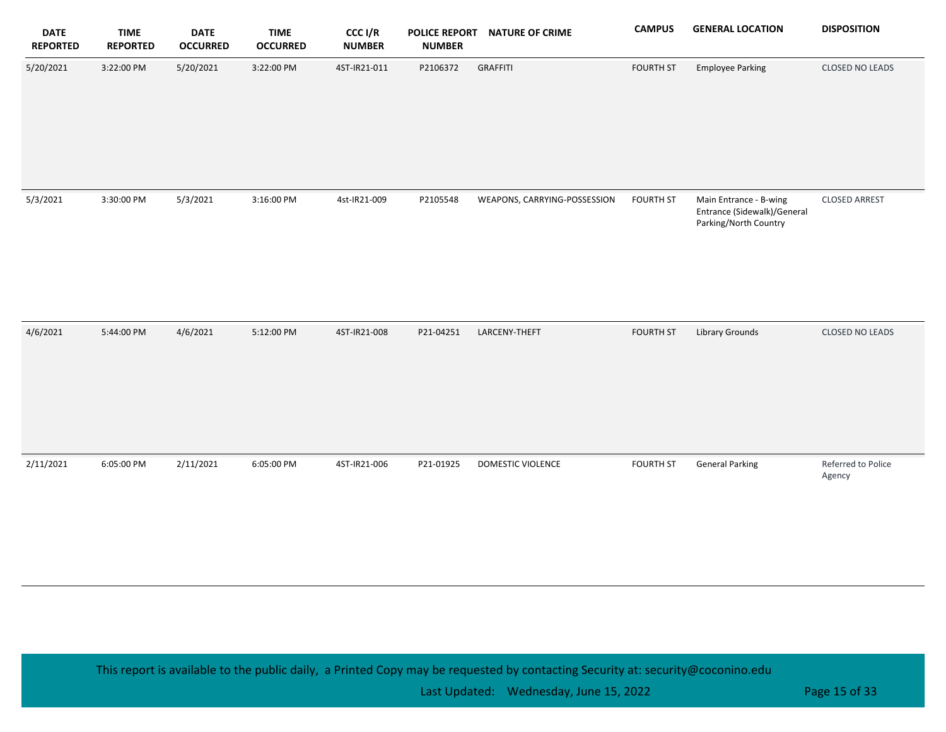| <b>DATE</b><br><b>REPORTED</b> | <b>TIME</b><br><b>REPORTED</b> | <b>DATE</b><br><b>OCCURRED</b> | <b>TIME</b><br><b>OCCURRED</b> | CCC I/R<br><b>NUMBER</b> | <b>POLICE REPORT</b><br><b>NUMBER</b> | <b>NATURE OF CRIME</b>       | <b>CAMPUS</b>    | <b>GENERAL LOCATION</b>                                                        | <b>DISPOSITION</b>           |
|--------------------------------|--------------------------------|--------------------------------|--------------------------------|--------------------------|---------------------------------------|------------------------------|------------------|--------------------------------------------------------------------------------|------------------------------|
| 5/20/2021                      | 3:22:00 PM                     | 5/20/2021                      | 3:22:00 PM                     | 4ST-IR21-011             | P2106372                              | <b>GRAFFITI</b>              | <b>FOURTH ST</b> | <b>Employee Parking</b>                                                        | CLOSED NO LEADS              |
| 5/3/2021                       | 3:30:00 PM                     | 5/3/2021                       | 3:16:00 PM                     | 4st-IR21-009             | P2105548                              | WEAPONS, CARRYING-POSSESSION | <b>FOURTH ST</b> | Main Entrance - B-wing<br>Entrance (Sidewalk)/General<br>Parking/North Country | <b>CLOSED ARREST</b>         |
| 4/6/2021                       | 5:44:00 PM                     | 4/6/2021                       | 5:12:00 PM                     | 4ST-IR21-008             | P21-04251                             | LARCENY-THEFT                | <b>FOURTH ST</b> | Library Grounds                                                                | <b>CLOSED NO LEADS</b>       |
| 2/11/2021                      | 6:05:00 PM                     | 2/11/2021                      | 6:05:00 PM                     | 4ST-IR21-006             | P21-01925                             | DOMESTIC VIOLENCE            | <b>FOURTH ST</b> | <b>General Parking</b>                                                         | Referred to Police<br>Agency |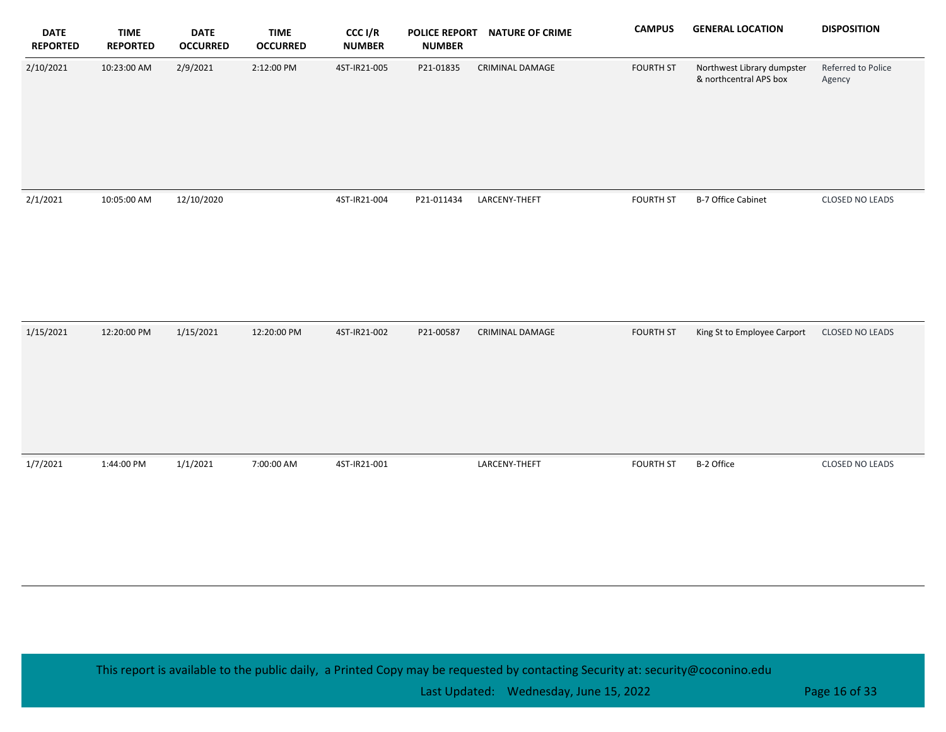| <b>DATE</b><br><b>REPORTED</b> | <b>TIME</b><br><b>REPORTED</b> | <b>DATE</b><br><b>OCCURRED</b> | <b>TIME</b><br><b>OCCURRED</b> | CCC I/R<br><b>NUMBER</b> | <b>POLICE REPORT</b><br><b>NUMBER</b> | <b>NATURE OF CRIME</b> | <b>CAMPUS</b>    | <b>GENERAL LOCATION</b>                              | <b>DISPOSITION</b>           |
|--------------------------------|--------------------------------|--------------------------------|--------------------------------|--------------------------|---------------------------------------|------------------------|------------------|------------------------------------------------------|------------------------------|
| 2/10/2021                      | 10:23:00 AM                    | 2/9/2021                       | 2:12:00 PM                     | 4ST-IR21-005             | P21-01835                             | CRIMINAL DAMAGE        | <b>FOURTH ST</b> | Northwest Library dumpster<br>& northcentral APS box | Referred to Police<br>Agency |
| 2/1/2021                       | 10:05:00 AM                    | 12/10/2020                     |                                | 4ST-IR21-004             | P21-011434                            | LARCENY-THEFT          | <b>FOURTH ST</b> | B-7 Office Cabinet                                   | CLOSED NO LEADS              |
| 1/15/2021                      | 12:20:00 PM                    | 1/15/2021                      | 12:20:00 PM                    | 4ST-IR21-002             | P21-00587                             | <b>CRIMINAL DAMAGE</b> | <b>FOURTH ST</b> | King St to Employee Carport                          | <b>CLOSED NO LEADS</b>       |
| 1/7/2021                       | 1:44:00 PM                     | 1/1/2021                       | 7:00:00 AM                     | 4ST-IR21-001             |                                       | LARCENY-THEFT          | <b>FOURTH ST</b> | B-2 Office                                           | CLOSED NO LEADS              |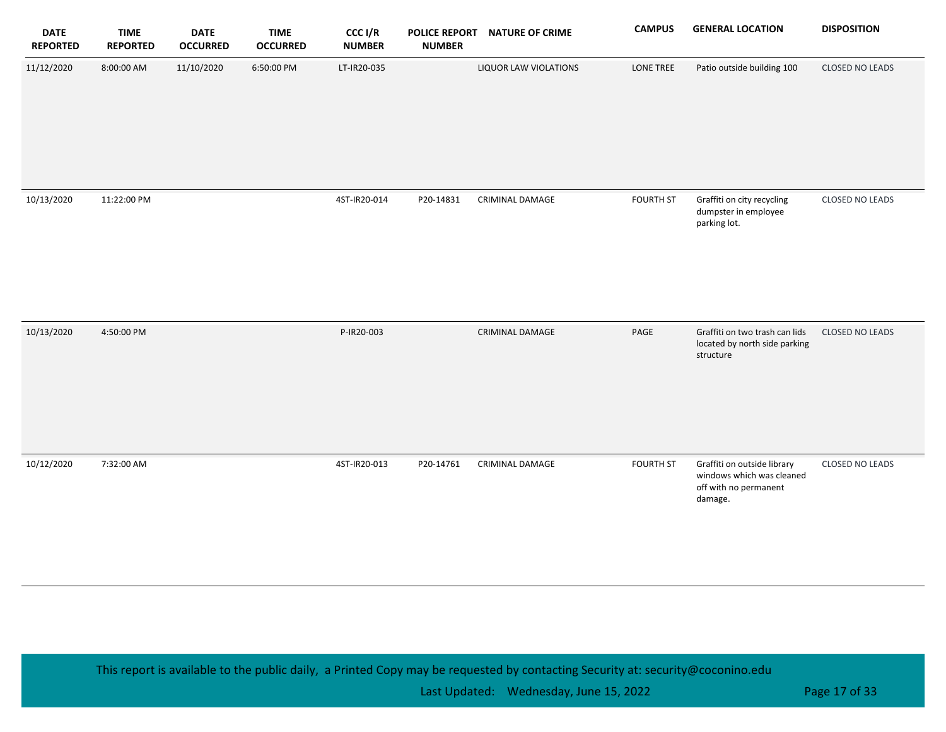| <b>DATE</b><br><b>REPORTED</b> | <b>TIME</b><br><b>REPORTED</b> | <b>DATE</b><br><b>OCCURRED</b> | <b>TIME</b><br><b>OCCURRED</b> | CCC I/R<br><b>NUMBER</b> | <b>POLICE REPORT</b><br><b>NUMBER</b> | <b>NATURE OF CRIME</b> | <b>CAMPUS</b>    | <b>GENERAL LOCATION</b>                                                                      | <b>DISPOSITION</b> |
|--------------------------------|--------------------------------|--------------------------------|--------------------------------|--------------------------|---------------------------------------|------------------------|------------------|----------------------------------------------------------------------------------------------|--------------------|
| 11/12/2020                     | 8:00:00 AM                     | 11/10/2020                     | 6:50:00 PM                     | LT-IR20-035              |                                       | LIQUOR LAW VIOLATIONS  | LONE TREE        | Patio outside building 100                                                                   | CLOSED NO LEADS    |
| 10/13/2020                     | 11:22:00 PM                    |                                |                                | 4ST-IR20-014             | P20-14831                             | CRIMINAL DAMAGE        | <b>FOURTH ST</b> | Graffiti on city recycling<br>dumpster in employee<br>parking lot.                           | CLOSED NO LEADS    |
| 10/13/2020                     | 4:50:00 PM                     |                                |                                | P-IR20-003               |                                       | CRIMINAL DAMAGE        | PAGE             | Graffiti on two trash can lids<br>located by north side parking<br>structure                 | CLOSED NO LEADS    |
| 10/12/2020                     | 7:32:00 AM                     |                                |                                | 4ST-IR20-013             | P20-14761                             | CRIMINAL DAMAGE        | <b>FOURTH ST</b> | Graffiti on outside library<br>windows which was cleaned<br>off with no permanent<br>damage. | CLOSED NO LEADS    |

Last Updated: Wednesday, June 15, 2022 **Page 17 of 33** and 2011 12:00 Page 17 of 33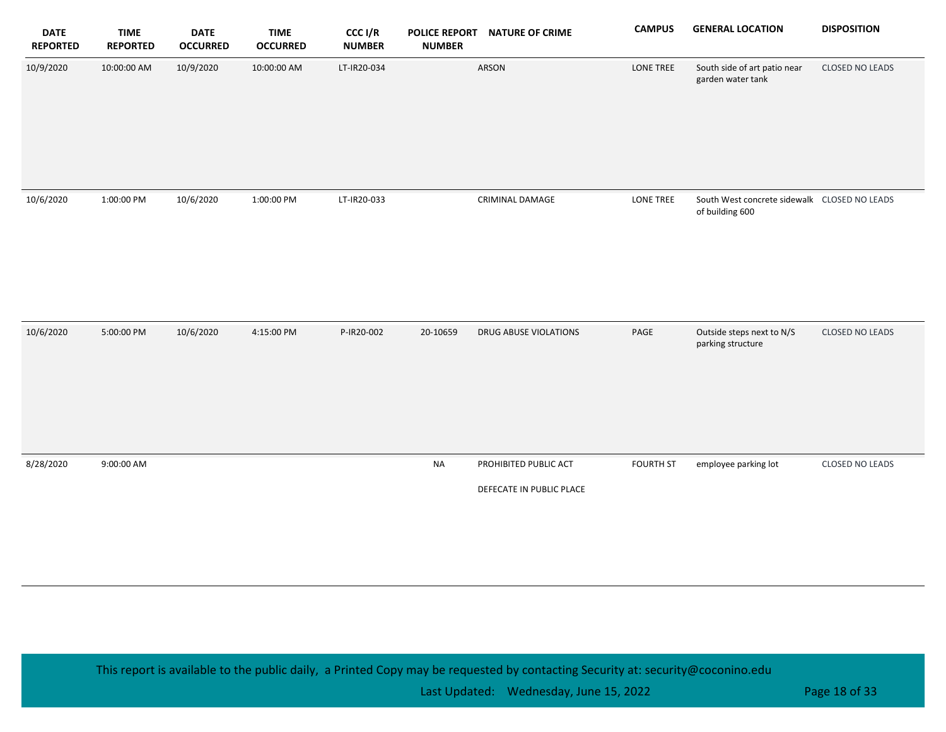| <b>DATE</b><br><b>REPORTED</b> | <b>TIME</b><br><b>REPORTED</b> | <b>DATE</b><br><b>OCCURRED</b> | <b>TIME</b><br><b>OCCURRED</b> | CCC I/R<br><b>NUMBER</b> | <b>NUMBER</b> | POLICE REPORT NATURE OF CRIME                     | <b>CAMPUS</b>    | <b>GENERAL LOCATION</b>                                         | <b>DISPOSITION</b> |
|--------------------------------|--------------------------------|--------------------------------|--------------------------------|--------------------------|---------------|---------------------------------------------------|------------------|-----------------------------------------------------------------|--------------------|
| 10/9/2020                      | 10:00:00 AM                    | 10/9/2020                      | 10:00:00 AM                    | LT-IR20-034              |               | ARSON                                             | LONE TREE        | South side of art patio near<br>garden water tank               | CLOSED NO LEADS    |
| 10/6/2020                      | 1:00:00 PM                     | 10/6/2020                      | 1:00:00 PM                     | LT-IR20-033              |               | CRIMINAL DAMAGE                                   | LONE TREE        | South West concrete sidewalk CLOSED NO LEADS<br>of building 600 |                    |
| 10/6/2020                      | 5:00:00 PM                     | 10/6/2020                      | 4:15:00 PM                     | P-IR20-002               | 20-10659      | DRUG ABUSE VIOLATIONS                             | PAGE             | Outside steps next to N/S<br>parking structure                  | CLOSED NO LEADS    |
| 8/28/2020                      | 9:00:00 AM                     |                                |                                |                          | <b>NA</b>     | PROHIBITED PUBLIC ACT<br>DEFECATE IN PUBLIC PLACE | <b>FOURTH ST</b> | employee parking lot                                            | CLOSED NO LEADS    |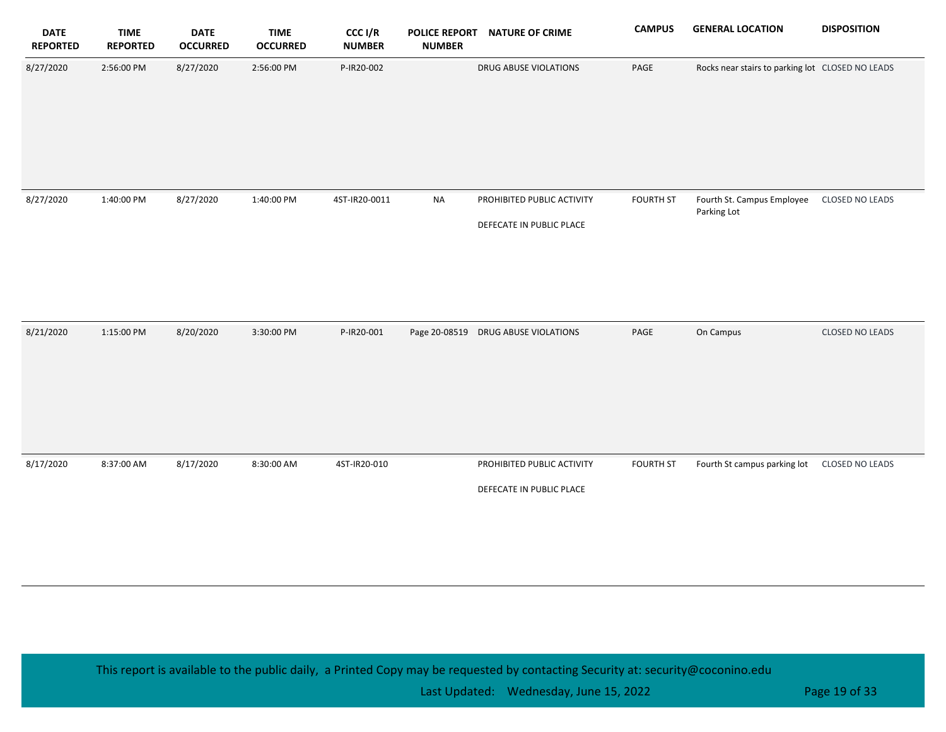| <b>DATE</b><br><b>REPORTED</b> | <b>TIME</b><br><b>REPORTED</b> | <b>DATE</b><br><b>OCCURRED</b> | <b>TIME</b><br><b>OCCURRED</b> | CCC I/R<br><b>NUMBER</b> | <b>POLICE REPORT</b><br><b>NUMBER</b> | <b>NATURE OF CRIME</b>                                 | <b>CAMPUS</b>    | <b>GENERAL LOCATION</b>                          | <b>DISPOSITION</b> |
|--------------------------------|--------------------------------|--------------------------------|--------------------------------|--------------------------|---------------------------------------|--------------------------------------------------------|------------------|--------------------------------------------------|--------------------|
| 8/27/2020                      | 2:56:00 PM                     | 8/27/2020                      | 2:56:00 PM                     | P-IR20-002               |                                       | DRUG ABUSE VIOLATIONS                                  | PAGE             | Rocks near stairs to parking lot CLOSED NO LEADS |                    |
| 8/27/2020                      | 1:40:00 PM                     | 8/27/2020                      | 1:40:00 PM                     | 4ST-IR20-0011            | <b>NA</b>                             | PROHIBITED PUBLIC ACTIVITY<br>DEFECATE IN PUBLIC PLACE | <b>FOURTH ST</b> | Fourth St. Campus Employee<br>Parking Lot        | CLOSED NO LEADS    |
| 8/21/2020                      | 1:15:00 PM                     | 8/20/2020                      | 3:30:00 PM                     | P-IR20-001               |                                       | Page 20-08519 DRUG ABUSE VIOLATIONS                    | PAGE             | On Campus                                        | CLOSED NO LEADS    |
| 8/17/2020                      | 8:37:00 AM                     | 8/17/2020                      | 8:30:00 AM                     | 4ST-IR20-010             |                                       | PROHIBITED PUBLIC ACTIVITY<br>DEFECATE IN PUBLIC PLACE | <b>FOURTH ST</b> | Fourth St campus parking lot                     | CLOSED NO LEADS    |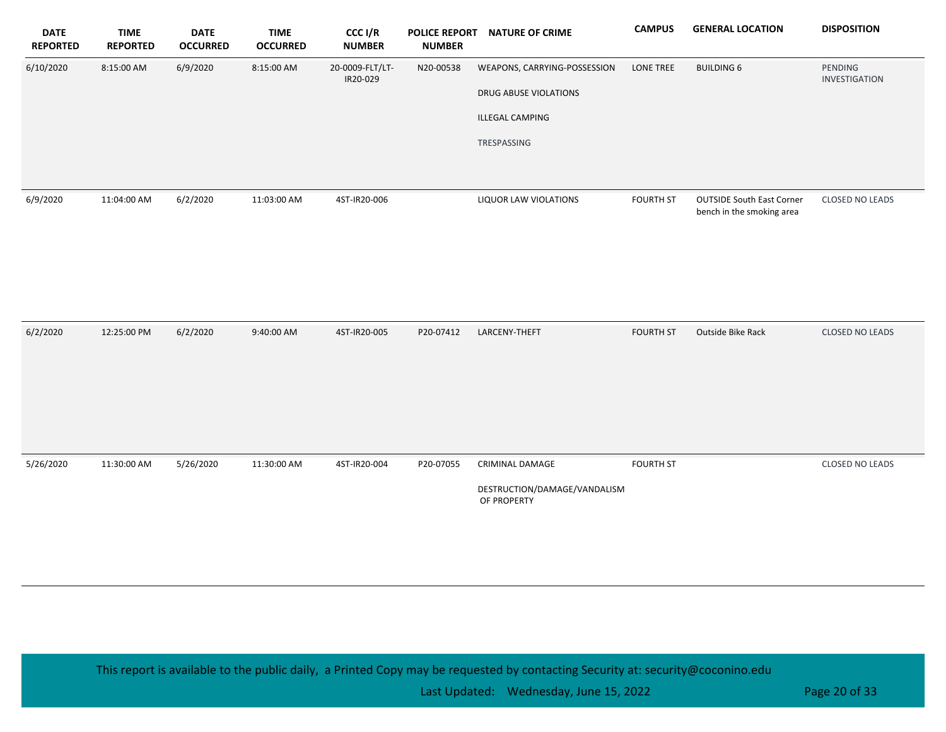| <b>DATE</b><br><b>REPORTED</b> | <b>TIME</b><br><b>REPORTED</b> | <b>DATE</b><br><b>OCCURRED</b> | <b>TIME</b><br><b>OCCURRED</b> | CCC I/R<br><b>NUMBER</b>    | <b>POLICE REPORT</b><br><b>NUMBER</b> | <b>NATURE OF CRIME</b>                                | <b>CAMPUS</b>    | <b>GENERAL LOCATION</b>                                       | <b>DISPOSITION</b>       |
|--------------------------------|--------------------------------|--------------------------------|--------------------------------|-----------------------------|---------------------------------------|-------------------------------------------------------|------------------|---------------------------------------------------------------|--------------------------|
| 6/10/2020                      | 8:15:00 AM                     | 6/9/2020                       | 8:15:00 AM                     | 20-0009-FLT/LT-<br>IR20-029 | N20-00538                             | WEAPONS, CARRYING-POSSESSION<br>DRUG ABUSE VIOLATIONS | LONE TREE        | <b>BUILDING 6</b>                                             | PENDING<br>INVESTIGATION |
|                                |                                |                                |                                |                             |                                       | ILLEGAL CAMPING                                       |                  |                                                               |                          |
|                                |                                |                                |                                |                             |                                       | TRESPASSING                                           |                  |                                                               |                          |
|                                |                                |                                |                                |                             |                                       |                                                       |                  |                                                               |                          |
| 6/9/2020                       | 11:04:00 AM                    | 6/2/2020                       | 11:03:00 AM                    | 4ST-IR20-006                |                                       | LIQUOR LAW VIOLATIONS                                 | <b>FOURTH ST</b> | <b>OUTSIDE South East Corner</b><br>bench in the smoking area | CLOSED NO LEADS          |
|                                |                                |                                |                                |                             |                                       |                                                       |                  |                                                               |                          |
|                                |                                |                                |                                |                             |                                       |                                                       |                  |                                                               |                          |
|                                |                                |                                |                                |                             |                                       |                                                       |                  |                                                               |                          |
| 6/2/2020                       | 12:25:00 PM                    | 6/2/2020                       | 9:40:00 AM                     | 4ST-IR20-005                | P20-07412                             | LARCENY-THEFT                                         | <b>FOURTH ST</b> | Outside Bike Rack                                             | CLOSED NO LEADS          |
|                                |                                |                                |                                |                             |                                       |                                                       |                  |                                                               |                          |
|                                |                                |                                |                                |                             |                                       |                                                       |                  |                                                               |                          |
|                                |                                |                                |                                |                             |                                       |                                                       |                  |                                                               |                          |
|                                |                                |                                |                                |                             |                                       |                                                       |                  |                                                               |                          |
| 5/26/2020                      | 11:30:00 AM                    | 5/26/2020                      | 11:30:00 AM                    | 4ST-IR20-004                | P20-07055                             | CRIMINAL DAMAGE                                       | <b>FOURTH ST</b> |                                                               | CLOSED NO LEADS          |
|                                |                                |                                |                                |                             |                                       | DESTRUCTION/DAMAGE/VANDALISM<br>OF PROPERTY           |                  |                                                               |                          |
|                                |                                |                                |                                |                             |                                       |                                                       |                  |                                                               |                          |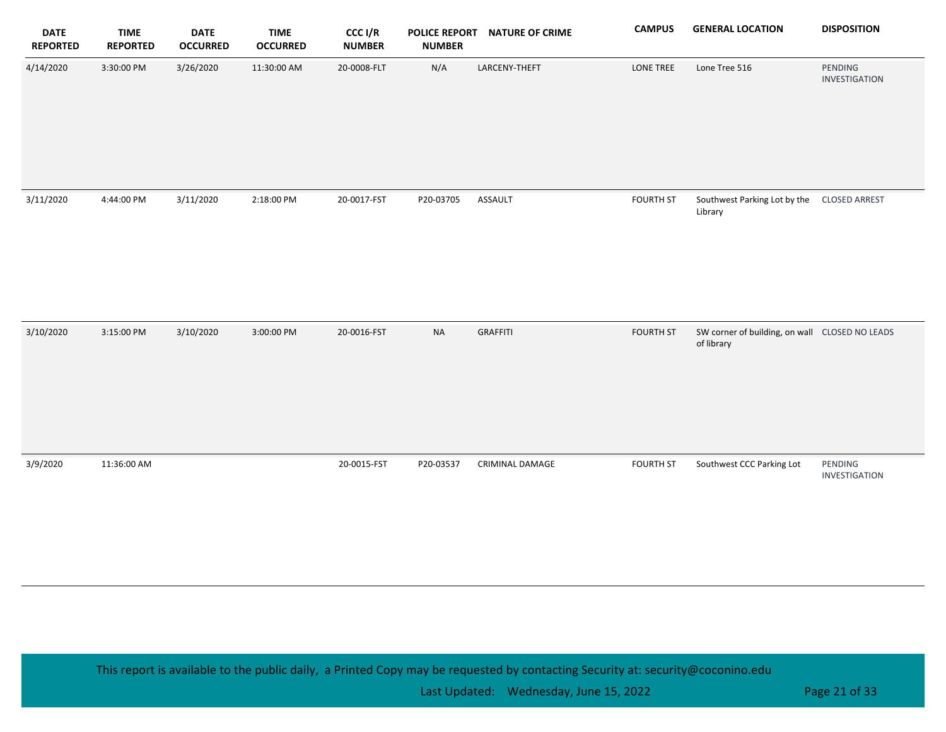| <b>DATE</b><br><b>REPORTED</b> | <b>TIME</b><br><b>REPORTED</b> | <b>DATE</b><br><b>OCCURRED</b> | <b>TIME</b><br><b>OCCURRED</b> | CCC I/R<br><b>NUMBER</b> | <b>POLICE REPORT</b><br><b>NUMBER</b> | <b>NATURE OF CRIME</b> | <b>CAMPUS</b>    | <b>GENERAL LOCATION</b>                                      | <b>DISPOSITION</b>       |
|--------------------------------|--------------------------------|--------------------------------|--------------------------------|--------------------------|---------------------------------------|------------------------|------------------|--------------------------------------------------------------|--------------------------|
| 4/14/2020                      | 3:30:00 PM                     | 3/26/2020                      | 11:30:00 AM                    | 20-0008-FLT              | N/A                                   | LARCENY-THEFT          | LONE TREE        | Lone Tree 516                                                | PENDING<br>INVESTIGATION |
| 3/11/2020                      | 4:44:00 PM                     | 3/11/2020                      | 2:18:00 PM                     | 20-0017-FST              | P20-03705                             | ASSAULT                | <b>FOURTH ST</b> | Southwest Parking Lot by the CLOSED ARREST<br>Library        |                          |
| 3/10/2020                      | 3:15:00 PM                     | 3/10/2020                      | 3:00:00 PM                     | 20-0016-FST              | <b>NA</b>                             | <b>GRAFFITI</b>        | <b>FOURTH ST</b> | SW corner of building, on wall CLOSED NO LEADS<br>of library |                          |
| 3/9/2020                       | 11:36:00 AM                    |                                |                                | 20-0015-FST              | P20-03537                             | CRIMINAL DAMAGE        | <b>FOURTH ST</b> | Southwest CCC Parking Lot                                    | PENDING<br>INVESTIGATION |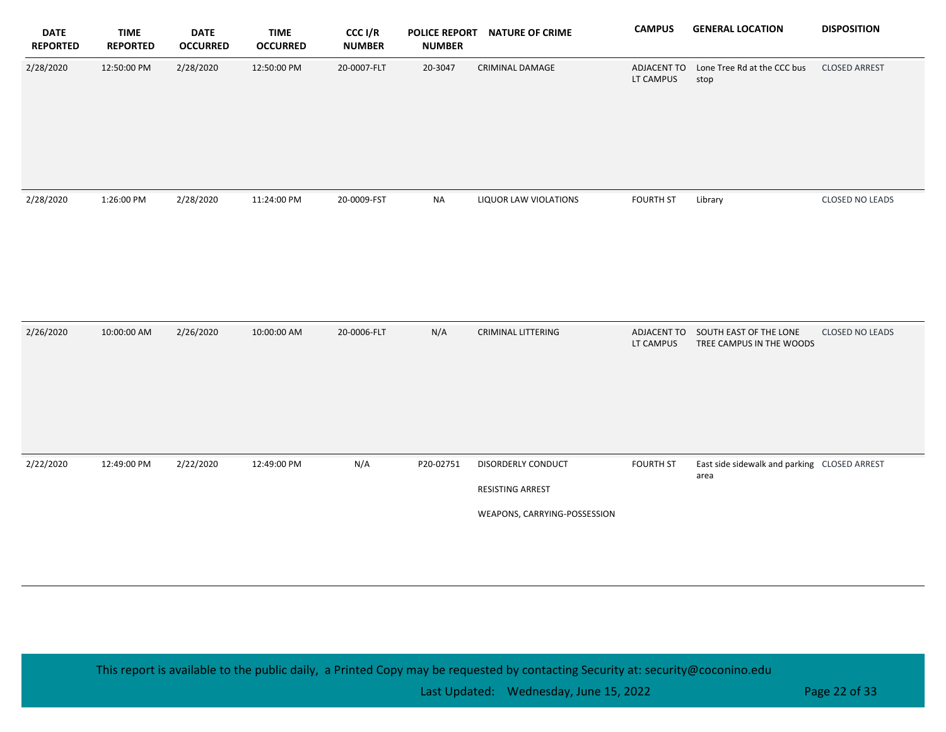| <b>DATE</b><br><b>REPORTED</b> | <b>TIME</b><br><b>REPORTED</b> | <b>DATE</b><br><b>OCCURRED</b> | <b>TIME</b><br><b>OCCURRED</b> | CCC I/R<br><b>NUMBER</b> | <b>NUMBER</b> | POLICE REPORT NATURE OF CRIME                                          | <b>CAMPUS</b>            | <b>GENERAL LOCATION</b>                                        | <b>DISPOSITION</b>     |
|--------------------------------|--------------------------------|--------------------------------|--------------------------------|--------------------------|---------------|------------------------------------------------------------------------|--------------------------|----------------------------------------------------------------|------------------------|
| 2/28/2020                      | 12:50:00 PM                    | 2/28/2020                      | 12:50:00 PM                    | 20-0007-FLT              | 20-3047       | CRIMINAL DAMAGE                                                        | ADJACENT TO<br>LT CAMPUS | Lone Tree Rd at the CCC bus<br>stop                            | <b>CLOSED ARREST</b>   |
| 2/28/2020                      | 1:26:00 PM                     | 2/28/2020                      | 11:24:00 PM                    | 20-0009-FST              | <b>NA</b>     | LIQUOR LAW VIOLATIONS                                                  | <b>FOURTH ST</b>         | Library                                                        | CLOSED NO LEADS        |
| 2/26/2020                      | 10:00:00 AM                    | 2/26/2020                      | 10:00:00 AM                    | 20-0006-FLT              | N/A           | <b>CRIMINAL LITTERING</b>                                              | LT CAMPUS                | ADJACENT TO SOUTH EAST OF THE LONE<br>TREE CAMPUS IN THE WOODS | <b>CLOSED NO LEADS</b> |
| 2/22/2020                      | 12:49:00 PM                    | 2/22/2020                      | 12:49:00 PM                    | N/A                      | P20-02751     | DISORDERLY CONDUCT<br>RESISTING ARREST<br>WEAPONS, CARRYING-POSSESSION | <b>FOURTH ST</b>         | East side sidewalk and parking CLOSED ARREST<br>area           |                        |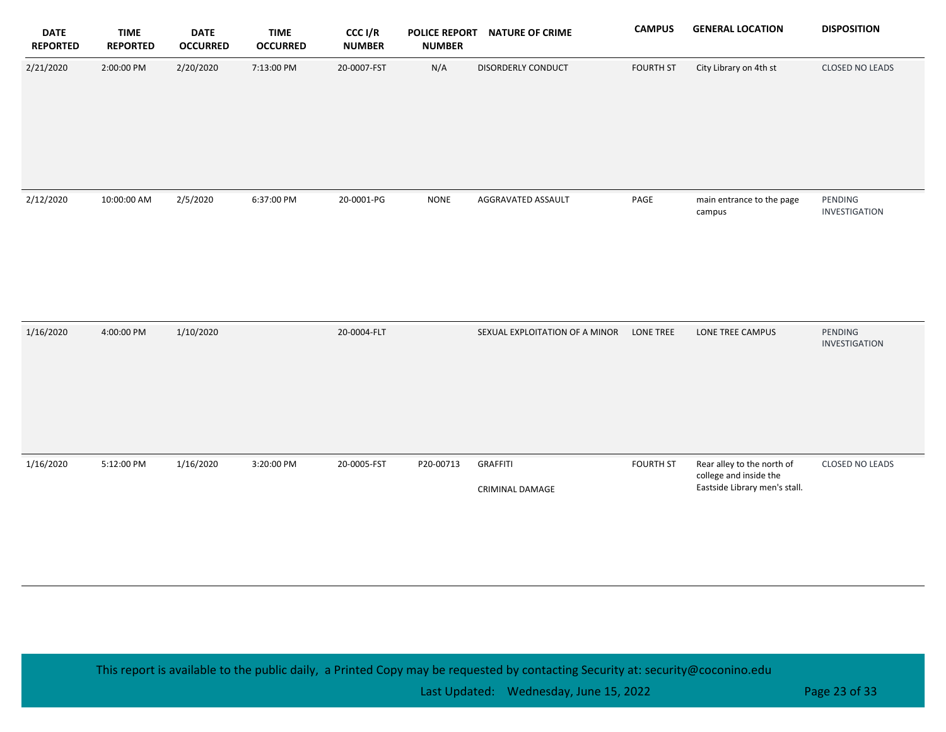| <b>DATE</b><br><b>REPORTED</b> | <b>TIME</b><br><b>REPORTED</b> | <b>DATE</b><br><b>OCCURRED</b> | <b>TIME</b><br><b>OCCURRED</b> | CCC I/R<br><b>NUMBER</b> | <b>POLICE REPORT</b><br><b>NUMBER</b> | <b>NATURE OF CRIME</b>             | <b>CAMPUS</b>    | <b>GENERAL LOCATION</b>                                                               | <b>DISPOSITION</b>       |
|--------------------------------|--------------------------------|--------------------------------|--------------------------------|--------------------------|---------------------------------------|------------------------------------|------------------|---------------------------------------------------------------------------------------|--------------------------|
| 2/21/2020                      | 2:00:00 PM                     | 2/20/2020                      | 7:13:00 PM                     | 20-0007-FST              | N/A                                   | DISORDERLY CONDUCT                 | <b>FOURTH ST</b> | City Library on 4th st                                                                | <b>CLOSED NO LEADS</b>   |
| 2/12/2020                      | 10:00:00 AM                    | 2/5/2020                       | 6:37:00 PM                     | 20-0001-PG               | <b>NONE</b>                           | AGGRAVATED ASSAULT                 | PAGE             | main entrance to the page<br>campus                                                   | PENDING<br>INVESTIGATION |
| 1/16/2020                      | 4:00:00 PM                     | 1/10/2020                      |                                | 20-0004-FLT              |                                       | SEXUAL EXPLOITATION OF A MINOR     | <b>LONE TREE</b> | LONE TREE CAMPUS                                                                      | PENDING<br>INVESTIGATION |
| 1/16/2020                      | 5:12:00 PM                     | 1/16/2020                      | 3:20:00 PM                     | 20-0005-FST              | P20-00713                             | <b>GRAFFITI</b><br>CRIMINAL DAMAGE | <b>FOURTH ST</b> | Rear alley to the north of<br>college and inside the<br>Eastside Library men's stall. | CLOSED NO LEADS          |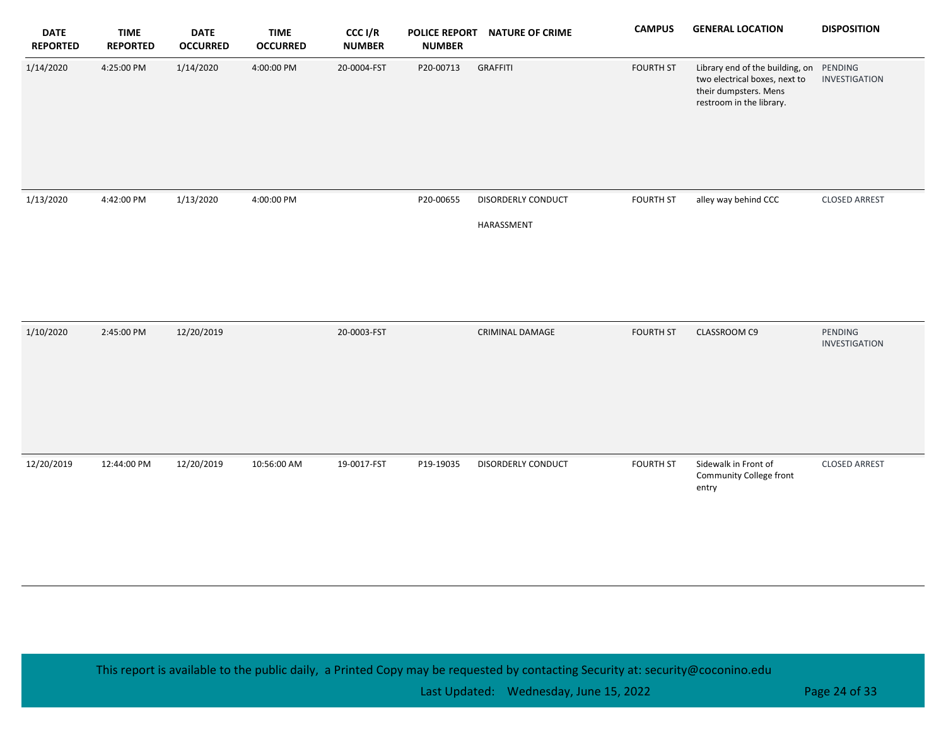| <b>DATE</b><br><b>REPORTED</b> | <b>TIME</b><br><b>REPORTED</b> | <b>DATE</b><br><b>OCCURRED</b> | <b>TIME</b><br><b>OCCURRED</b> | CCC I/R<br><b>NUMBER</b> | <b>POLICE REPORT</b><br><b>NUMBER</b> | <b>NATURE OF CRIME</b> | <b>CAMPUS</b>    | <b>GENERAL LOCATION</b>                                                                                                       | <b>DISPOSITION</b>       |
|--------------------------------|--------------------------------|--------------------------------|--------------------------------|--------------------------|---------------------------------------|------------------------|------------------|-------------------------------------------------------------------------------------------------------------------------------|--------------------------|
| 1/14/2020                      | 4:25:00 PM                     | 1/14/2020                      | 4:00:00 PM                     | 20-0004-FST              | P20-00713                             | <b>GRAFFITI</b>        | <b>FOURTH ST</b> | Library end of the building, on PENDING<br>two electrical boxes, next to<br>their dumpsters. Mens<br>restroom in the library. | INVESTIGATION            |
| 1/13/2020                      | 4:42:00 PM                     | 1/13/2020                      | 4:00:00 PM                     |                          | P20-00655                             | DISORDERLY CONDUCT     | <b>FOURTH ST</b> | alley way behind CCC                                                                                                          | <b>CLOSED ARREST</b>     |
|                                |                                |                                |                                |                          |                                       | HARASSMENT             |                  |                                                                                                                               |                          |
| 1/10/2020                      | 2:45:00 PM                     | 12/20/2019                     |                                | 20-0003-FST              |                                       | <b>CRIMINAL DAMAGE</b> | <b>FOURTH ST</b> | CLASSROOM C9                                                                                                                  | PENDING<br>INVESTIGATION |
| 12/20/2019                     | 12:44:00 PM                    | 12/20/2019                     | 10:56:00 AM                    | 19-0017-FST              | P19-19035                             | DISORDERLY CONDUCT     | <b>FOURTH ST</b> | Sidewalk in Front of<br>Community College front<br>entry                                                                      | <b>CLOSED ARREST</b>     |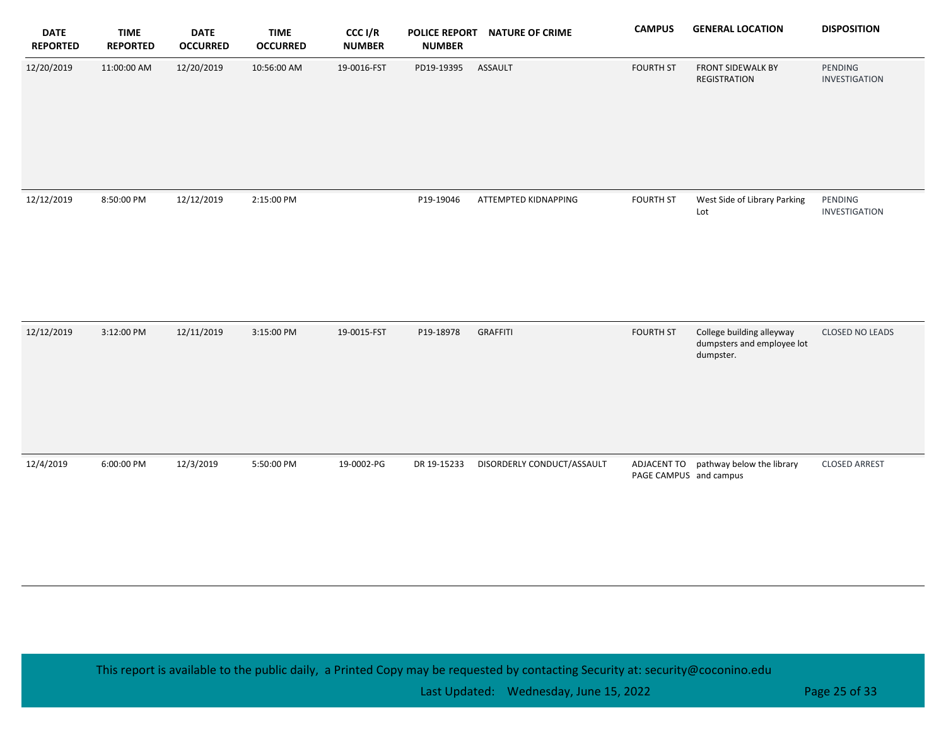| <b>DATE</b><br><b>REPORTED</b> | <b>TIME</b><br><b>REPORTED</b> | <b>DATE</b><br><b>OCCURRED</b> | <b>TIME</b><br><b>OCCURRED</b> | CCC I/R<br><b>NUMBER</b> | <b>POLICE REPORT</b><br><b>NUMBER</b> | <b>NATURE OF CRIME</b>     | <b>CAMPUS</b>          | <b>GENERAL LOCATION</b>                                              | <b>DISPOSITION</b>       |
|--------------------------------|--------------------------------|--------------------------------|--------------------------------|--------------------------|---------------------------------------|----------------------------|------------------------|----------------------------------------------------------------------|--------------------------|
| 12/20/2019                     | 11:00:00 AM                    | 12/20/2019                     | 10:56:00 AM                    | 19-0016-FST              | PD19-19395                            | ASSAULT                    | <b>FOURTH ST</b>       | FRONT SIDEWALK BY<br><b>REGISTRATION</b>                             | PENDING<br>INVESTIGATION |
| 12/12/2019                     | 8:50:00 PM                     | 12/12/2019                     | 2:15:00 PM                     |                          | P19-19046                             | ATTEMPTED KIDNAPPING       | <b>FOURTH ST</b>       | West Side of Library Parking<br>Lot                                  | PENDING<br>INVESTIGATION |
| 12/12/2019                     | 3:12:00 PM                     | 12/11/2019                     | 3:15:00 PM                     | 19-0015-FST              | P19-18978                             | <b>GRAFFITI</b>            | <b>FOURTH ST</b>       | College building alleyway<br>dumpsters and employee lot<br>dumpster. | CLOSED NO LEADS          |
| 12/4/2019                      | 6:00:00 PM                     | 12/3/2019                      | 5:50:00 PM                     | 19-0002-PG               | DR 19-15233                           | DISORDERLY CONDUCT/ASSAULT | PAGE CAMPUS and campus | ADJACENT TO pathway below the library                                | <b>CLOSED ARREST</b>     |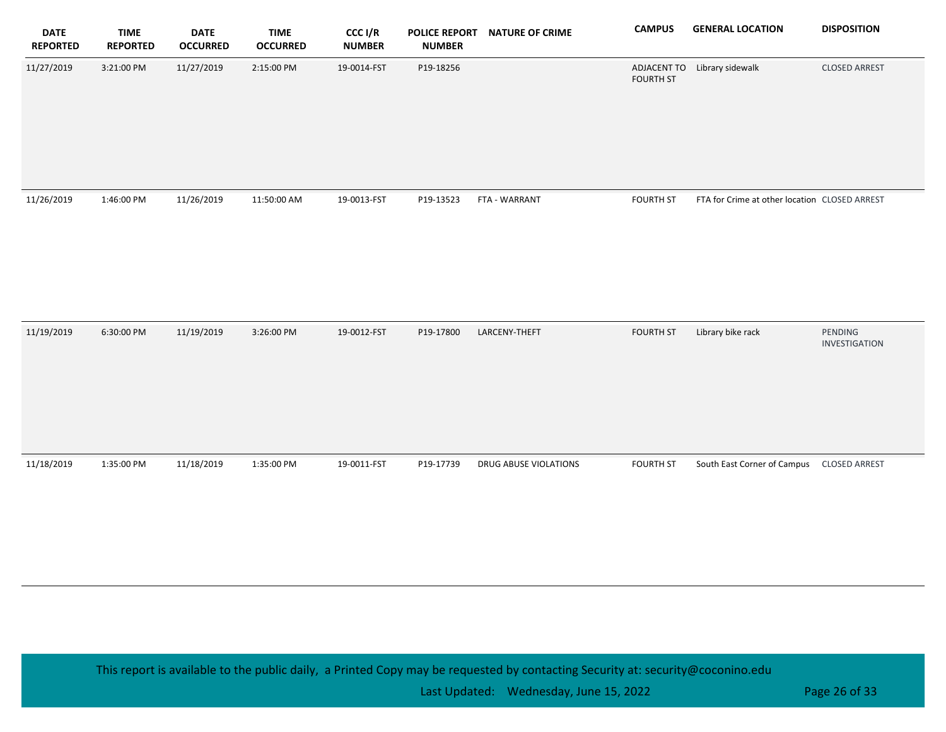| <b>DATE</b><br><b>REPORTED</b> | <b>TIME</b><br><b>REPORTED</b> | <b>DATE</b><br><b>OCCURRED</b> | <b>TIME</b><br><b>OCCURRED</b> | CCC I/R<br><b>NUMBER</b> | <b>POLICE REPORT</b><br><b>NUMBER</b> | <b>NATURE OF CRIME</b> | <b>CAMPUS</b>    | <b>GENERAL LOCATION</b>                       | <b>DISPOSITION</b>       |
|--------------------------------|--------------------------------|--------------------------------|--------------------------------|--------------------------|---------------------------------------|------------------------|------------------|-----------------------------------------------|--------------------------|
| 11/27/2019                     | 3:21:00 PM                     | 11/27/2019                     | 2:15:00 PM                     | 19-0014-FST              | P19-18256                             |                        | <b>FOURTH ST</b> | ADJACENT TO Library sidewalk                  | <b>CLOSED ARREST</b>     |
| 11/26/2019                     | 1:46:00 PM                     | 11/26/2019                     | 11:50:00 AM                    | 19-0013-FST              | P19-13523                             | FTA - WARRANT          | <b>FOURTH ST</b> | FTA for Crime at other location CLOSED ARREST |                          |
| 11/19/2019                     | 6:30:00 PM                     | 11/19/2019                     | 3:26:00 PM                     | 19-0012-FST              | P19-17800                             | LARCENY-THEFT          | <b>FOURTH ST</b> | Library bike rack                             | PENDING<br>INVESTIGATION |
| 11/18/2019                     | 1:35:00 PM                     | 11/18/2019                     | 1:35:00 PM                     | 19-0011-FST              | P19-17739                             | DRUG ABUSE VIOLATIONS  | <b>FOURTH ST</b> | South East Corner of Campus                   | <b>CLOSED ARREST</b>     |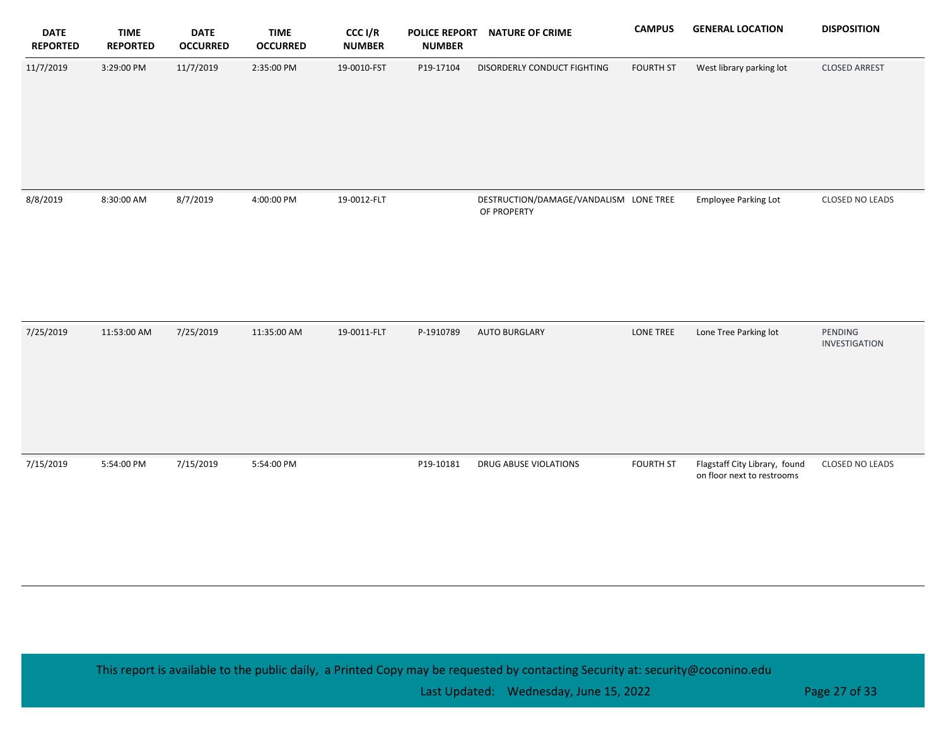| <b>DATE</b><br><b>REPORTED</b> | <b>TIME</b><br><b>REPORTED</b> | <b>DATE</b><br><b>OCCURRED</b> | <b>TIME</b><br><b>OCCURRED</b> | CCC I/R<br><b>NUMBER</b> | <b>POLICE REPORT</b><br><b>NUMBER</b> | <b>NATURE OF CRIME</b>                                | <b>CAMPUS</b>    | <b>GENERAL LOCATION</b>                                     | <b>DISPOSITION</b>       |
|--------------------------------|--------------------------------|--------------------------------|--------------------------------|--------------------------|---------------------------------------|-------------------------------------------------------|------------------|-------------------------------------------------------------|--------------------------|
| 11/7/2019                      | 3:29:00 PM                     | 11/7/2019                      | 2:35:00 PM                     | 19-0010-FST              | P19-17104                             | DISORDERLY CONDUCT FIGHTING                           | <b>FOURTH ST</b> | West library parking lot                                    | <b>CLOSED ARREST</b>     |
| 8/8/2019                       | 8:30:00 AM                     | 8/7/2019                       | 4:00:00 PM                     | 19-0012-FLT              |                                       | DESTRUCTION/DAMAGE/VANDALISM LONE TREE<br>OF PROPERTY |                  | <b>Employee Parking Lot</b>                                 | CLOSED NO LEADS          |
| 7/25/2019                      | 11:53:00 AM                    | 7/25/2019                      | 11:35:00 AM                    | 19-0011-FLT              | P-1910789                             | <b>AUTO BURGLARY</b>                                  | LONE TREE        | Lone Tree Parking lot                                       | PENDING<br>INVESTIGATION |
| 7/15/2019                      | 5:54:00 PM                     | 7/15/2019                      | 5:54:00 PM                     |                          | P19-10181                             | DRUG ABUSE VIOLATIONS                                 | <b>FOURTH ST</b> | Flagstaff City Library, found<br>on floor next to restrooms | CLOSED NO LEADS          |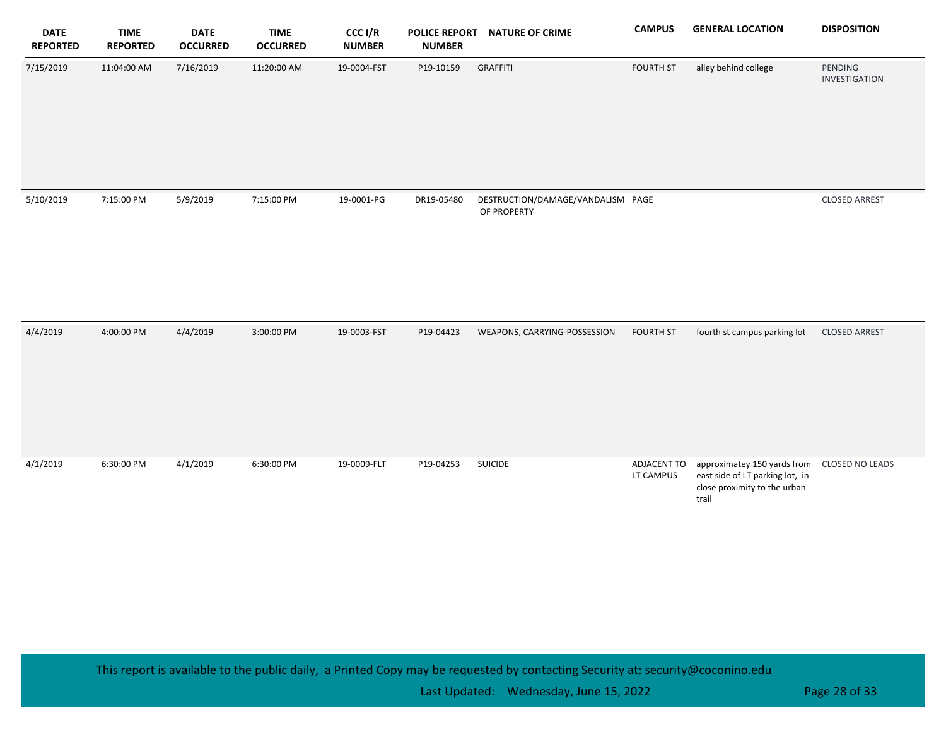| <b>DATE</b><br><b>REPORTED</b> | <b>TIME</b><br><b>REPORTED</b> | <b>DATE</b><br><b>OCCURRED</b> | <b>TIME</b><br><b>OCCURRED</b> | CCC I/R<br><b>NUMBER</b> | <b>POLICE REPORT</b><br><b>NUMBER</b> | <b>NATURE OF CRIME</b>                           | <b>CAMPUS</b>            | <b>GENERAL LOCATION</b>                                                                                 | <b>DISPOSITION</b>       |
|--------------------------------|--------------------------------|--------------------------------|--------------------------------|--------------------------|---------------------------------------|--------------------------------------------------|--------------------------|---------------------------------------------------------------------------------------------------------|--------------------------|
| 7/15/2019                      | 11:04:00 AM                    | 7/16/2019                      | 11:20:00 AM                    | 19-0004-FST              | P19-10159                             | <b>GRAFFITI</b>                                  | <b>FOURTH ST</b>         | alley behind college                                                                                    | PENDING<br>INVESTIGATION |
| 5/10/2019                      | 7:15:00 PM                     | 5/9/2019                       | 7:15:00 PM                     | 19-0001-PG               | DR19-05480                            | DESTRUCTION/DAMAGE/VANDALISM PAGE<br>OF PROPERTY |                          |                                                                                                         | <b>CLOSED ARREST</b>     |
| 4/4/2019                       | 4:00:00 PM                     | 4/4/2019                       | 3:00:00 PM                     | 19-0003-FST              | P19-04423                             | WEAPONS, CARRYING-POSSESSION                     | <b>FOURTH ST</b>         | fourth st campus parking lot                                                                            | <b>CLOSED ARREST</b>     |
| 4/1/2019                       | 6:30:00 PM                     | 4/1/2019                       | 6:30:00 PM                     | 19-0009-FLT              | P19-04253                             | <b>SUICIDE</b>                                   | ADJACENT TO<br>LT CAMPUS | approximatey 150 yards from<br>east side of LT parking lot, in<br>close proximity to the urban<br>trail | CLOSED NO LEADS          |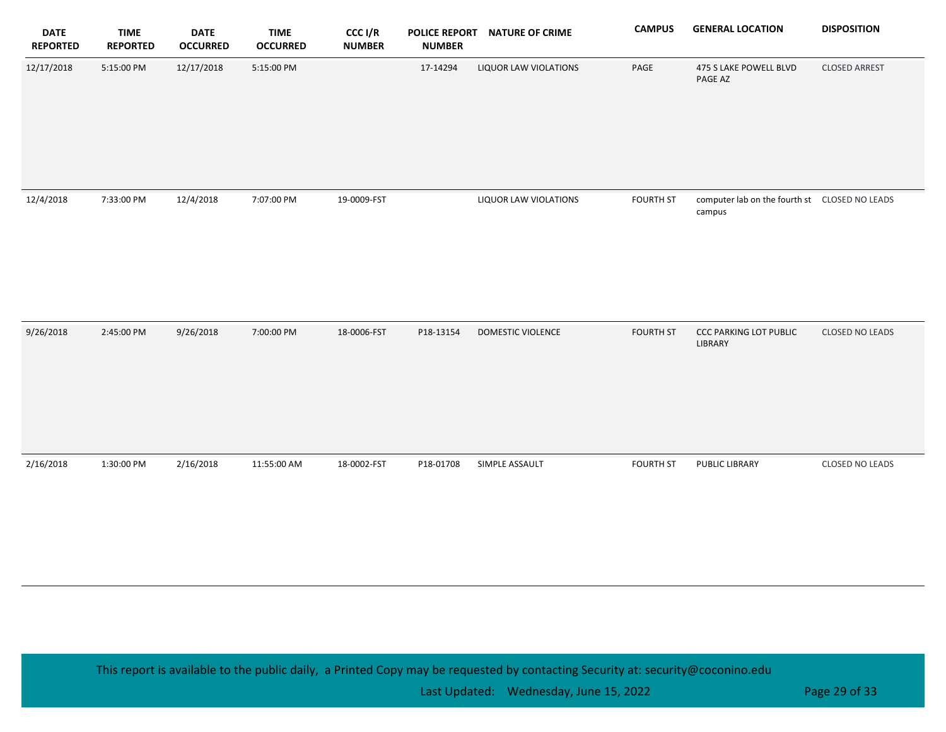| <b>DATE</b><br><b>REPORTED</b> | <b>TIME</b><br><b>REPORTED</b> | <b>DATE</b><br><b>OCCURRED</b> | <b>TIME</b><br><b>OCCURRED</b> | CCC I/R<br><b>NUMBER</b> | <b>POLICE REPORT</b><br><b>NUMBER</b> | <b>NATURE OF CRIME</b> | <b>CAMPUS</b>    | <b>GENERAL LOCATION</b>                                  | <b>DISPOSITION</b>   |
|--------------------------------|--------------------------------|--------------------------------|--------------------------------|--------------------------|---------------------------------------|------------------------|------------------|----------------------------------------------------------|----------------------|
| 12/17/2018                     | 5:15:00 PM                     | 12/17/2018                     | 5:15:00 PM                     |                          | 17-14294                              | LIQUOR LAW VIOLATIONS  | PAGE             | 475 S LAKE POWELL BLVD<br>PAGE AZ                        | <b>CLOSED ARREST</b> |
| 12/4/2018                      | 7:33:00 PM                     | 12/4/2018                      | 7:07:00 PM                     | 19-0009-FST              |                                       | LIQUOR LAW VIOLATIONS  | <b>FOURTH ST</b> | computer lab on the fourth st  CLOSED NO LEADS<br>campus |                      |
| 9/26/2018                      | 2:45:00 PM                     | 9/26/2018                      | 7:00:00 PM                     | 18-0006-FST              | P18-13154                             | DOMESTIC VIOLENCE      | <b>FOURTH ST</b> | <b>CCC PARKING LOT PUBLIC</b><br>LIBRARY                 | CLOSED NO LEADS      |
| 2/16/2018                      | 1:30:00 PM                     | 2/16/2018                      | 11:55:00 AM                    | 18-0002-FST              | P18-01708                             | SIMPLE ASSAULT         | <b>FOURTH ST</b> | <b>PUBLIC LIBRARY</b>                                    | CLOSED NO LEADS      |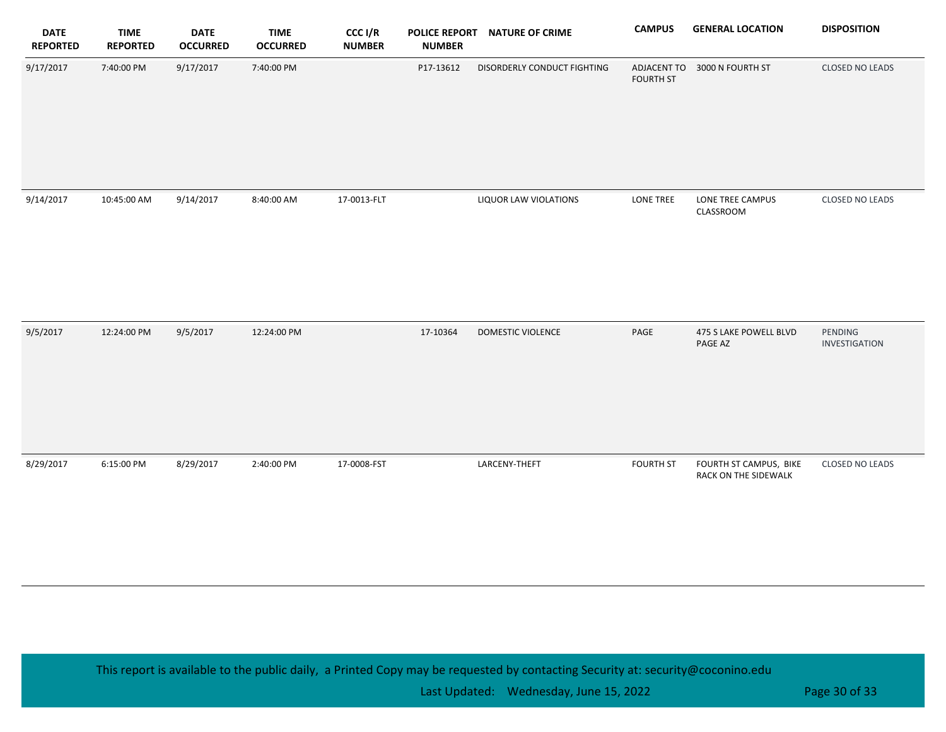| <b>DATE</b><br><b>REPORTED</b> | <b>TIME</b><br><b>REPORTED</b> | <b>DATE</b><br><b>OCCURRED</b> | <b>TIME</b><br><b>OCCURRED</b> | CCC I/R<br><b>NUMBER</b> | <b>POLICE REPORT</b><br><b>NUMBER</b> | <b>NATURE OF CRIME</b>      | <b>CAMPUS</b>                   | <b>GENERAL LOCATION</b>                        | <b>DISPOSITION</b>       |
|--------------------------------|--------------------------------|--------------------------------|--------------------------------|--------------------------|---------------------------------------|-----------------------------|---------------------------------|------------------------------------------------|--------------------------|
| 9/17/2017                      | 7:40:00 PM                     | 9/17/2017                      | 7:40:00 PM                     |                          | P17-13612                             | DISORDERLY CONDUCT FIGHTING | ADJACENT TO<br><b>FOURTH ST</b> | 3000 N FOURTH ST                               | CLOSED NO LEADS          |
| 9/14/2017                      | 10:45:00 AM                    | 9/14/2017                      | 8:40:00 AM                     | 17-0013-FLT              |                                       | LIQUOR LAW VIOLATIONS       | LONE TREE                       | LONE TREE CAMPUS<br>CLASSROOM                  | CLOSED NO LEADS          |
| 9/5/2017                       | 12:24:00 PM                    | 9/5/2017                       | 12:24:00 PM                    |                          | 17-10364                              | DOMESTIC VIOLENCE           | PAGE                            | 475 S LAKE POWELL BLVD<br>PAGE AZ              | PENDING<br>INVESTIGATION |
| 8/29/2017                      | 6:15:00 PM                     | 8/29/2017                      | 2:40:00 PM                     | 17-0008-FST              |                                       | LARCENY-THEFT               | <b>FOURTH ST</b>                | FOURTH ST CAMPUS, BIKE<br>RACK ON THE SIDEWALK | CLOSED NO LEADS          |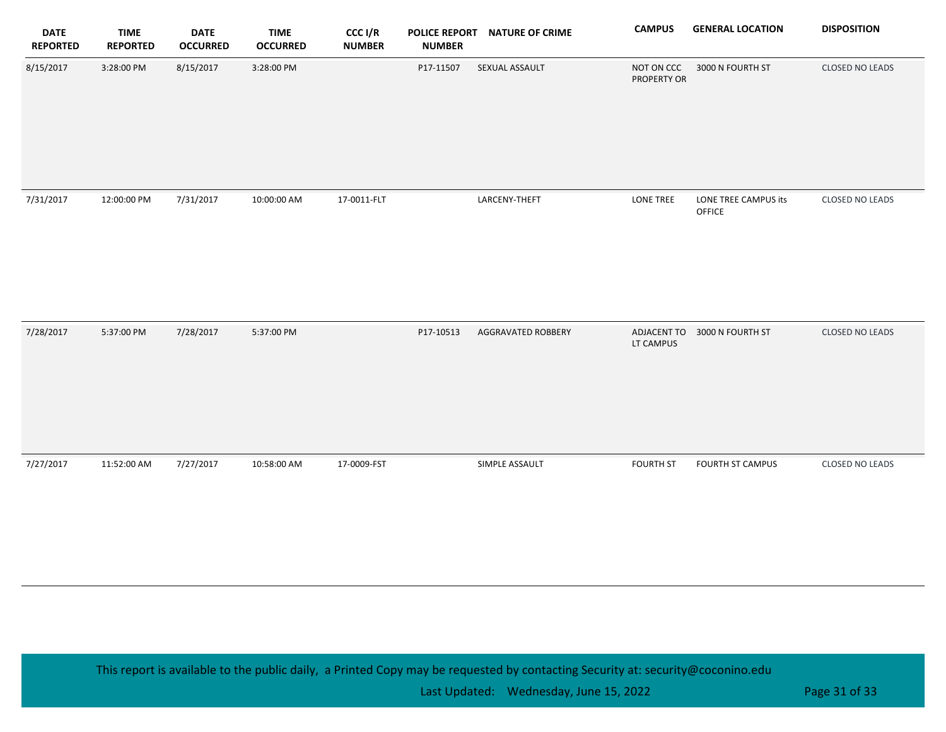| <b>DATE</b><br><b>REPORTED</b> | <b>TIME</b><br><b>REPORTED</b> | <b>DATE</b><br><b>OCCURRED</b> | <b>TIME</b><br><b>OCCURRED</b> | CCC I/R<br><b>NUMBER</b> | <b>POLICE REPORT</b><br><b>NUMBER</b> | <b>NATURE OF CRIME</b> | <b>CAMPUS</b>             | <b>GENERAL LOCATION</b>        | <b>DISPOSITION</b>     |
|--------------------------------|--------------------------------|--------------------------------|--------------------------------|--------------------------|---------------------------------------|------------------------|---------------------------|--------------------------------|------------------------|
| 8/15/2017                      | 3:28:00 PM                     | 8/15/2017                      | 3:28:00 PM                     |                          | P17-11507                             | SEXUAL ASSAULT         | NOT ON CCC<br>PROPERTY OR | 3000 N FOURTH ST               | <b>CLOSED NO LEADS</b> |
| 7/31/2017                      | 12:00:00 PM                    | 7/31/2017                      | 10:00:00 AM                    | 17-0011-FLT              |                                       | LARCENY-THEFT          | <b>LONE TREE</b>          | LONE TREE CAMPUS its<br>OFFICE | <b>CLOSED NO LEADS</b> |
| 7/28/2017                      | 5:37:00 PM                     | 7/28/2017                      | 5:37:00 PM                     |                          | P17-10513                             | AGGRAVATED ROBBERY     | LT CAMPUS                 | ADJACENT TO 3000 N FOURTH ST   | <b>CLOSED NO LEADS</b> |
| 7/27/2017                      | 11:52:00 AM                    | 7/27/2017                      | 10:58:00 AM                    | 17-0009-FST              |                                       | SIMPLE ASSAULT         | <b>FOURTH ST</b>          | FOURTH ST CAMPUS               | CLOSED NO LEADS        |

Last Updated: Wednesday, June 15, 2022 **Page 31 of 33** and 23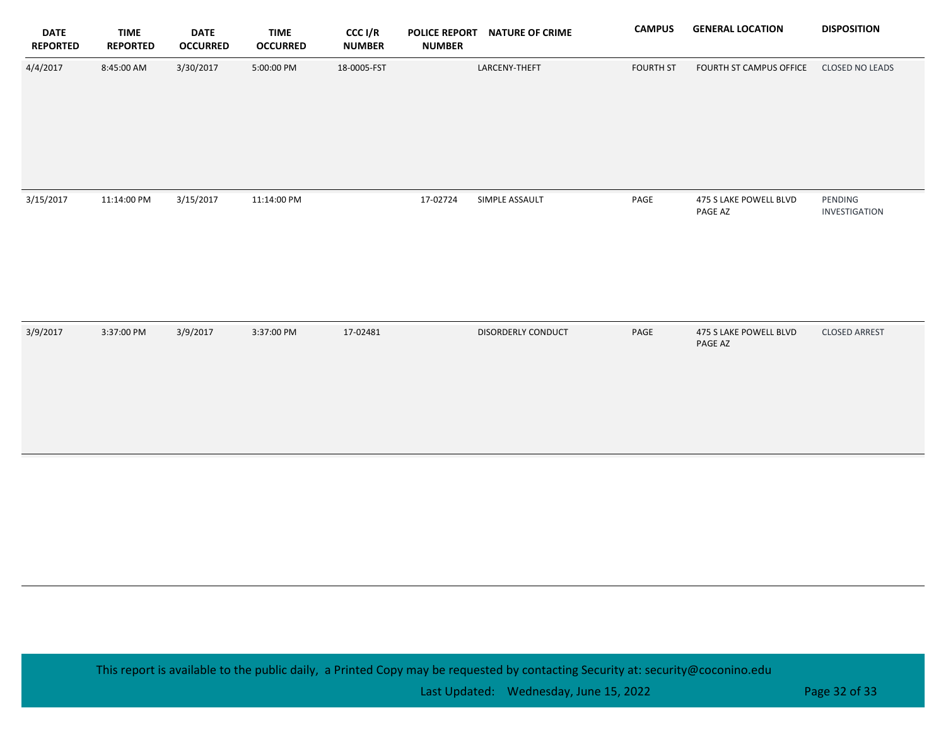| <b>DATE</b><br><b>REPORTED</b> | <b>TIME</b><br><b>REPORTED</b> | <b>DATE</b><br><b>OCCURRED</b> | <b>TIME</b><br><b>OCCURRED</b> | CCC I/R<br><b>NUMBER</b> | <b>POLICE REPORT</b><br><b>NUMBER</b> | <b>NATURE OF CRIME</b> | <b>CAMPUS</b>    | <b>GENERAL LOCATION</b>           | <b>DISPOSITION</b>       |
|--------------------------------|--------------------------------|--------------------------------|--------------------------------|--------------------------|---------------------------------------|------------------------|------------------|-----------------------------------|--------------------------|
| 4/4/2017                       | 8:45:00 AM                     | 3/30/2017                      | 5:00:00 PM                     | 18-0005-FST              |                                       | LARCENY-THEFT          | <b>FOURTH ST</b> | FOURTH ST CAMPUS OFFICE           | CLOSED NO LEADS          |
| 3/15/2017                      | 11:14:00 PM                    | 3/15/2017                      | 11:14:00 PM                    |                          | 17-02724                              | SIMPLE ASSAULT         | PAGE             | 475 S LAKE POWELL BLVD<br>PAGE AZ | PENDING<br>INVESTIGATION |
| 3/9/2017                       | 3:37:00 PM                     | 3/9/2017                       | 3:37:00 PM                     | 17-02481                 |                                       | DISORDERLY CONDUCT     | PAGE             | 475 S LAKE POWELL BLVD<br>PAGE AZ | <b>CLOSED ARREST</b>     |
|                                |                                |                                |                                |                          |                                       |                        |                  |                                   |                          |